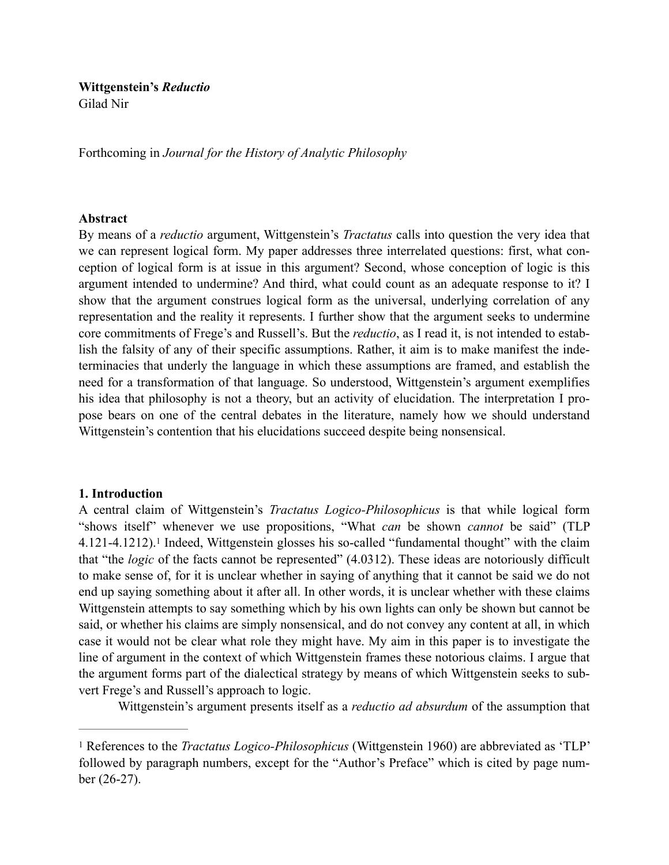# **Wittgenstein's** *Reductio* Gilad Nir

Forthcoming in *Journal for the History of Analytic Philosophy*

### **Abstract**

By means of a *reductio* argument, Wittgenstein's *Tractatus* calls into question the very idea that we can represent logical form. My paper addresses three interrelated questions: first, what conception of logical form is at issue in this argument? Second, whose conception of logic is this argument intended to undermine? And third, what could count as an adequate response to it? I show that the argument construes logical form as the universal, underlying correlation of any representation and the reality it represents. I further show that the argument seeks to undermine core commitments of Frege's and Russell's. But the *reductio*, as I read it, is not intended to establish the falsity of any of their specific assumptions. Rather, it aim is to make manifest the indeterminacies that underly the language in which these assumptions are framed, and establish the need for a transformation of that language. So understood, Wittgenstein's argument exemplifies his idea that philosophy is not a theory, but an activity of elucidation. The interpretation I propose bears on one of the central debates in the literature, namely how we should understand Wittgenstein's contention that his elucidations succeed despite being nonsensical.

# **1. Introduction**

<span id="page-0-1"></span>A central claim of Wittgenstein's *Tractatus Logico-Philosophicus* is that while logical form "shows itself" whenever we use propositions, "What *can* be shown *cannot* be said" (TLP 4.121-4.1212).<sup>1</sup>Indeed, Wittgenstein glosses his so-called "fundamental thought" with the claim that "the *logic* of the facts cannot be represented" (4.0312). These ideas are notoriously difficult to make sense of, for it is unclear whether in saying of anything that it cannot be said we do not end up saying something about it after all. In other words, it is unclear whether with these claims Wittgenstein attempts to say something which by his own lights can only be shown but cannot be said, or whether his claims are simply nonsensical, and do not convey any content at all, in which case it would not be clear what role they might have. My aim in this paper is to investigate the line of argument in the context of which Wittgenstein frames these notorious claims. I argue that the argument forms part of the dialectical strategy by means of which Wittgenstein seeks to subvert Frege's and Russell's approach to logic.

Wittgenstein's argument presents itself as a *reductio ad absurdum* of the assumption that

<span id="page-0-0"></span><sup>&</sup>lt;sup>[1](#page-0-1)</sup> References to the *Tractatus Logico-Philosophicus* (Wittgenstein 1960) are abbreviated as 'TLP' followed by paragraph numbers, except for the "Author's Preface" which is cited by page number (26-27).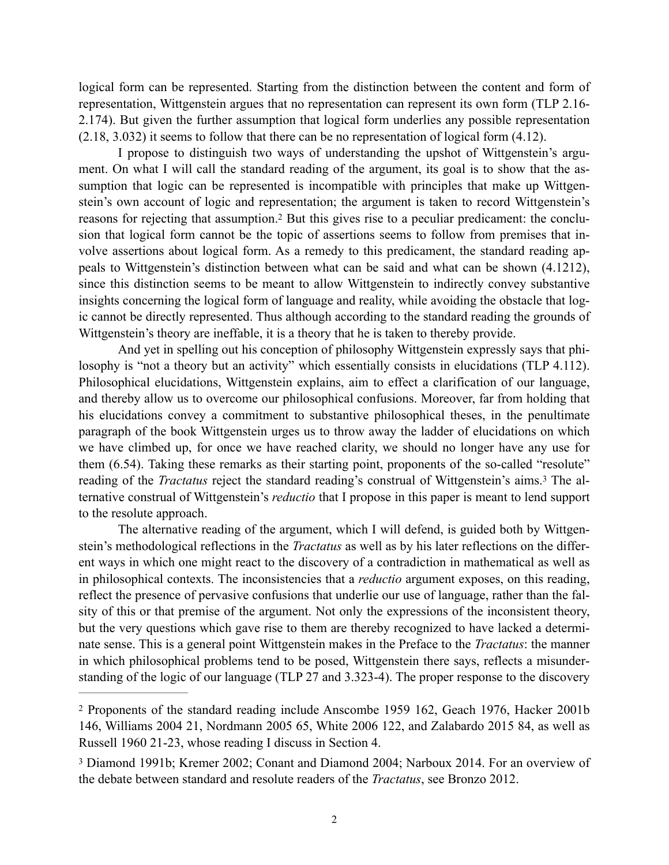logical form can be represented. Starting from the distinction between the content and form of representation, Wittgenstein argues that no representation can represent its own form (TLP 2.16- 2.174). But given the further assumption that logical form underlies any possible representation (2.18, 3.032) it seems to follow that there can be no representation of logical form (4.12).

<span id="page-1-2"></span>I propose to distinguish two ways of understanding the upshot of Wittgenstein's argument. On what I will call the standard reading of the argument, its goal is to show that the assumption that logic can be represented is incompatible with principles that make up Wittgenstein's own account of logic and representation; the argument is taken to record Wittgenstein's reasons for rejecting that assumption.[2](#page-1-0) But this gives rise to a peculiar predicament: the conclusion that logical form cannot be the topic of assertions seems to follow from premises that involve assertions about logical form. As a remedy to this predicament, the standard reading appeals to Wittgenstein's distinction between what can be said and what can be shown (4.1212), since this distinction seems to be meant to allow Wittgenstein to indirectly convey substantive insights concerning the logical form of language and reality, while avoiding the obstacle that logic cannot be directly represented. Thus although according to the standard reading the grounds of Wittgenstein's theory are ineffable, it is a theory that he is taken to thereby provide.

And yet in spelling out his conception of philosophy Wittgenstein expressly says that philosophy is "not a theory but an activity" which essentially consists in elucidations (TLP 4.112). Philosophical elucidations, Wittgenstein explains, aim to effect a clarification of our language, and thereby allow us to overcome our philosophical confusions. Moreover, far from holding that his elucidations convey a commitment to substantive philosophical theses, in the penultimate paragraph of the book Wittgenstein urges us to throw away the ladder of elucidations on which we have climbed up, for once we have reached clarity, we should no longer have any use for them (6.54). Taking these remarks as their starting point, proponents of the so-called "resolute" readingof the *Tractatus* reject the standard reading's construal of Wittgenstein's aims.<sup>3</sup> The alternative construal of Wittgenstein's *reductio* that I propose in this paper is meant to lend support to the resolute approach.

<span id="page-1-3"></span>The alternative reading of the argument, which I will defend, is guided both by Wittgenstein's methodological reflections in the *Tractatus* as well as by his later reflections on the different ways in which one might react to the discovery of a contradiction in mathematical as well as in philosophical contexts. The inconsistencies that a *reductio* argument exposes, on this reading, reflect the presence of pervasive confusions that underlie our use of language, rather than the falsity of this or that premise of the argument. Not only the expressions of the inconsistent theory, but the very questions which gave rise to them are thereby recognized to have lacked a determinate sense. This is a general point Wittgenstein makes in the Preface to the *Tractatus*: the manner in which philosophical problems tend to be posed, Wittgenstein there says, reflects a misunderstanding of the logic of our language (TLP 27 and 3.323-4). The proper response to the discovery

<span id="page-1-0"></span><sup>&</sup>lt;sup>[2](#page-1-2)</sup> Proponents of the standard reading include Anscombe 1959 162, Geach 1976, Hacker 2001b 146, Williams 2004 21, Nordmann 2005 65, White 2006 122, and Zalabardo 2015 84, as well as Russell 1960 21-23, whose reading I discuss in Section 4.

<span id="page-1-1"></span><sup>&</sup>lt;sup>[3](#page-1-3)</sup> Diamond 1991b; Kremer 2002; Conant and Diamond 2004; Narboux 2014. For an overview of the debate between standard and resolute readers of the *Tractatus*, see Bronzo 2012.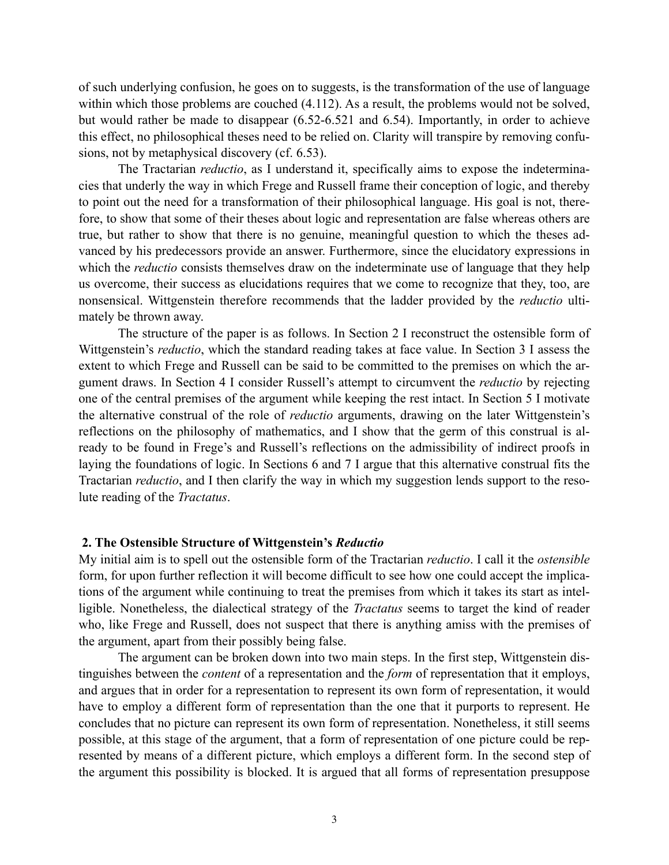of such underlying confusion, he goes on to suggests, is the transformation of the use of language within which those problems are couched (4.112). As a result, the problems would not be solved, but would rather be made to disappear (6.52-6.521 and 6.54). Importantly, in order to achieve this effect, no philosophical theses need to be relied on. Clarity will transpire by removing confusions, not by metaphysical discovery (cf. 6.53).

The Tractarian *reductio*, as I understand it, specifically aims to expose the indeterminacies that underly the way in which Frege and Russell frame their conception of logic, and thereby to point out the need for a transformation of their philosophical language. His goal is not, therefore, to show that some of their theses about logic and representation are false whereas others are true, but rather to show that there is no genuine, meaningful question to which the theses advanced by his predecessors provide an answer. Furthermore, since the elucidatory expressions in which the *reductio* consists themselves draw on the indeterminate use of language that they help us overcome, their success as elucidations requires that we come to recognize that they, too, are nonsensical. Wittgenstein therefore recommends that the ladder provided by the *reductio* ultimately be thrown away.

The structure of the paper is as follows. In Section 2 I reconstruct the ostensible form of Wittgenstein's *reductio*, which the standard reading takes at face value. In Section 3 I assess the extent to which Frege and Russell can be said to be committed to the premises on which the argument draws. In Section 4 I consider Russell's attempt to circumvent the *reductio* by rejecting one of the central premises of the argument while keeping the rest intact. In Section 5 I motivate the alternative construal of the role of *reductio* arguments, drawing on the later Wittgenstein's reflections on the philosophy of mathematics, and I show that the germ of this construal is already to be found in Frege's and Russell's reflections on the admissibility of indirect proofs in laying the foundations of logic. In Sections 6 and 7 I argue that this alternative construal fits the Tractarian *reductio*, and I then clarify the way in which my suggestion lends support to the resolute reading of the *Tractatus*.

### **2. The Ostensible Structure of Wittgenstein's** *Reductio*

My initial aim is to spell out the ostensible form of the Tractarian *reductio*. I call it the *ostensible* form, for upon further reflection it will become difficult to see how one could accept the implications of the argument while continuing to treat the premises from which it takes its start as intelligible. Nonetheless, the dialectical strategy of the *Tractatus* seems to target the kind of reader who, like Frege and Russell, does not suspect that there is anything amiss with the premises of the argument, apart from their possibly being false.

The argument can be broken down into two main steps. In the first step, Wittgenstein distinguishes between the *content* of a representation and the *form* of representation that it employs, and argues that in order for a representation to represent its own form of representation, it would have to employ a different form of representation than the one that it purports to represent. He concludes that no picture can represent its own form of representation. Nonetheless, it still seems possible, at this stage of the argument, that a form of representation of one picture could be represented by means of a different picture, which employs a different form. In the second step of the argument this possibility is blocked. It is argued that all forms of representation presuppose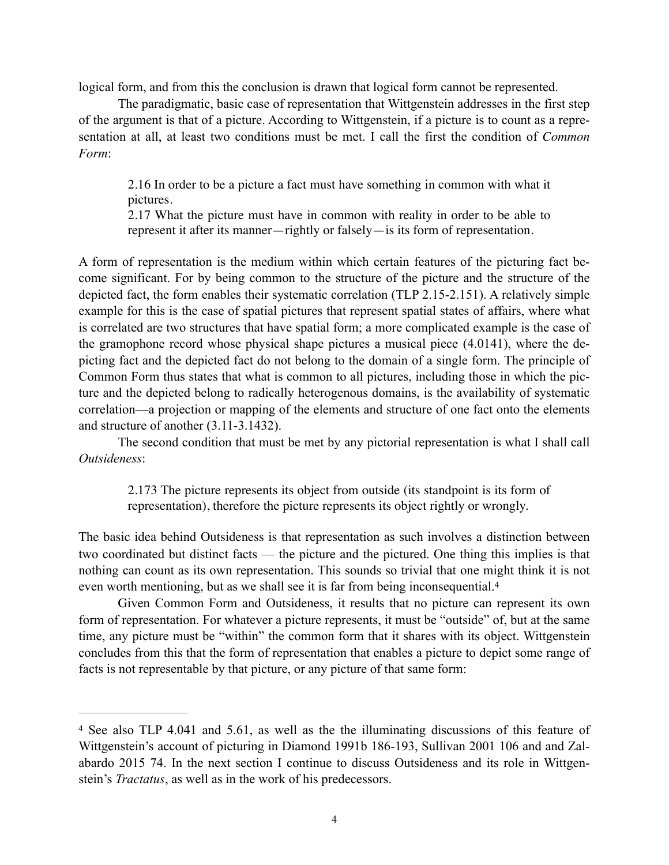logical form, and from this the conclusion is drawn that logical form cannot be represented.

The paradigmatic, basic case of representation that Wittgenstein addresses in the first step of the argument is that of a picture. According to Wittgenstein, if a picture is to count as a representation at all, at least two conditions must be met. I call the first the condition of *Common Form*:

2.16 In order to be a picture a fact must have something in common with what it pictures.

2.17 What the picture must have in common with reality in order to be able to represent it after its manner—rightly or falsely—is its form of representation.

A form of representation is the medium within which certain features of the picturing fact become significant. For by being common to the structure of the picture and the structure of the depicted fact, the form enables their systematic correlation (TLP 2.15-2.151). A relatively simple example for this is the case of spatial pictures that represent spatial states of affairs, where what is correlated are two structures that have spatial form; a more complicated example is the case of the gramophone record whose physical shape pictures a musical piece (4.0141), where the depicting fact and the depicted fact do not belong to the domain of a single form. The principle of Common Form thus states that what is common to all pictures, including those in which the picture and the depicted belong to radically heterogenous domains, is the availability of systematic correlation—a projection or mapping of the elements and structure of one fact onto the elements and structure of another (3.11-3.1432).

The second condition that must be met by any pictorial representation is what I shall call *Outsideness*:

<span id="page-3-1"></span>2.173 The picture represents its object from outside (its standpoint is its form of representation), therefore the picture represents its object rightly or wrongly.

The basic idea behind Outsideness is that representation as such involves a distinction between two coordinated but distinct facts — the picture and the pictured. One thing this implies is that nothing can count as its own representation. This sounds so trivial that one might think it is not even worth mentioning, but as we shall see it is far from being inconsequential.[4](#page-3-0)

Given Common Form and Outsideness, it results that no picture can represent its own form of representation. For whatever a picture represents, it must be "outside" of, but at the same time, any picture must be "within" the common form that it shares with its object. Wittgenstein concludes from this that the form of representation that enables a picture to depict some range of facts is not representable by that picture, or any picture of that same form:

<span id="page-3-0"></span><sup>&</sup>lt;sup>[4](#page-3-1)</sup> See also TLP 4.041 and 5.61, as well as the the illuminating discussions of this feature of Wittgenstein's account of picturing in Diamond 1991b 186-193, Sullivan 2001 106 and and Zalabardo 2015 74. In the next section I continue to discuss Outsideness and its role in Wittgenstein's *Tractatus*, as well as in the work of his predecessors.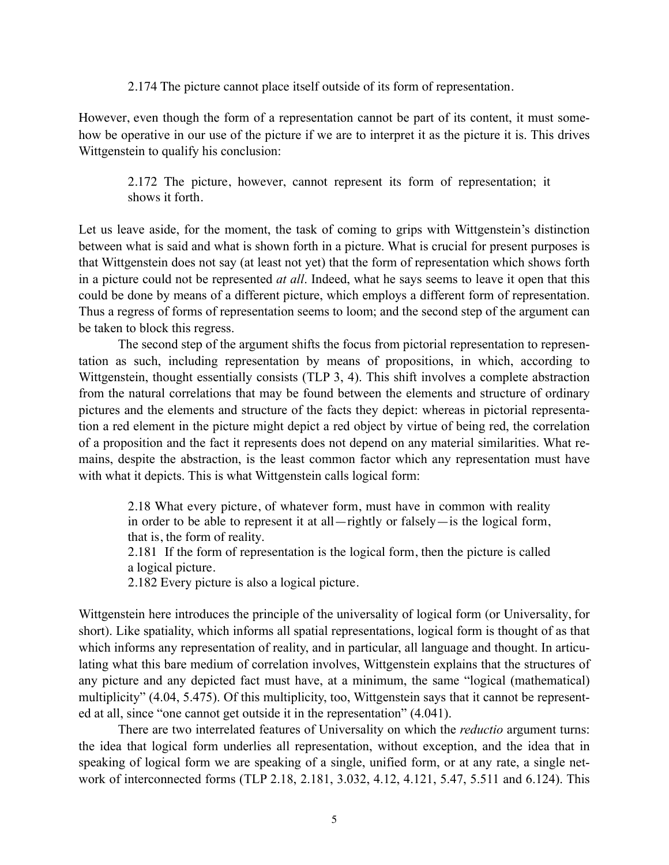2.174 The picture cannot place itself outside of its form of representation.

However, even though the form of a representation cannot be part of its content, it must somehow be operative in our use of the picture if we are to interpret it as the picture it is. This drives Wittgenstein to qualify his conclusion:

2.172 The picture, however, cannot represent its form of representation; it shows it forth.

Let us leave aside, for the moment, the task of coming to grips with Wittgenstein's distinction between what is said and what is shown forth in a picture. What is crucial for present purposes is that Wittgenstein does not say (at least not yet) that the form of representation which shows forth in a picture could not be represented *at all*. Indeed, what he says seems to leave it open that this could be done by means of a different picture, which employs a different form of representation. Thus a regress of forms of representation seems to loom; and the second step of the argument can be taken to block this regress.

The second step of the argument shifts the focus from pictorial representation to representation as such, including representation by means of propositions, in which, according to Wittgenstein, thought essentially consists (TLP 3, 4). This shift involves a complete abstraction from the natural correlations that may be found between the elements and structure of ordinary pictures and the elements and structure of the facts they depict: whereas in pictorial representation a red element in the picture might depict a red object by virtue of being red, the correlation of a proposition and the fact it represents does not depend on any material similarities. What remains, despite the abstraction, is the least common factor which any representation must have with what it depicts. This is what Wittgenstein calls logical form:

2.18 What every picture, of whatever form, must have in common with reality in order to be able to represent it at all—rightly or falsely—is the logical form, that is, the form of reality.

2.181 If the form of representation is the logical form, then the picture is called a logical picture.

2.182 Every picture is also a logical picture.

Wittgenstein here introduces the principle of the universality of logical form (or Universality, for short). Like spatiality, which informs all spatial representations, logical form is thought of as that which informs any representation of reality, and in particular, all language and thought. In articulating what this bare medium of correlation involves, Wittgenstein explains that the structures of any picture and any depicted fact must have, at a minimum, the same "logical (mathematical) multiplicity" (4.04, 5.475). Of this multiplicity, too, Wittgenstein says that it cannot be represented at all, since "one cannot get outside it in the representation" (4.041).

There are two interrelated features of Universality on which the *reductio* argument turns: the idea that logical form underlies all representation, without exception, and the idea that in speaking of logical form we are speaking of a single, unified form, or at any rate, a single network of interconnected forms (TLP 2.18, 2.181, 3.032, 4.12, 4.121, 5.47, 5.511 and 6.124). This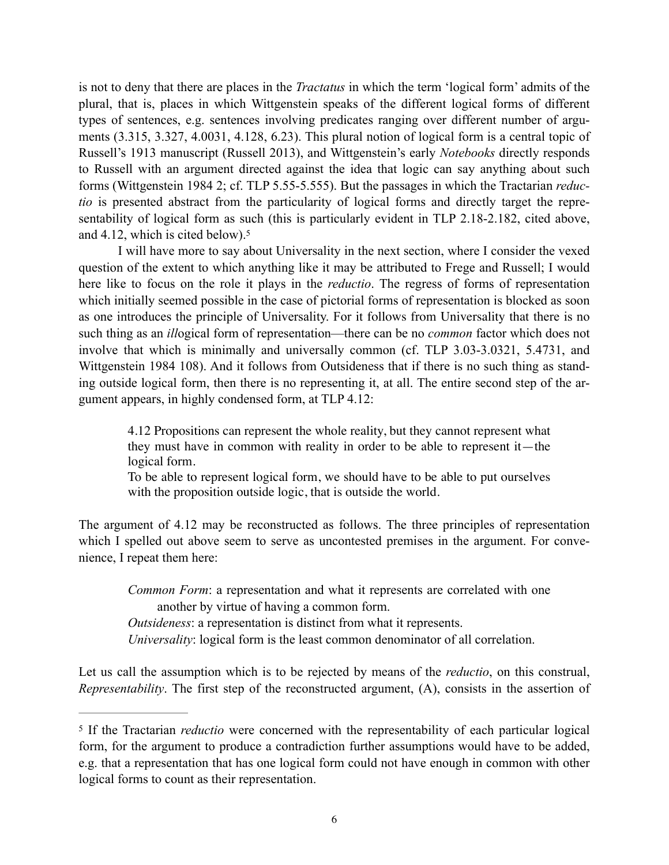is not to deny that there are places in the *Tractatus* in which the term 'logical form' admits of the plural, that is, places in which Wittgenstein speaks of the different logical forms of different types of sentences, e.g. sentences involving predicates ranging over different number of arguments (3.315, 3.327, 4.0031, 4.128, 6.23). This plural notion of logical form is a central topic of Russell's 1913 manuscript (Russell 2013), and Wittgenstein's early *Notebooks* directly responds to Russell with an argument directed against the idea that logic can say anything about such forms (Wittgenstein 1984 2; cf. TLP 5.55-5.555). But the passages in which the Tractarian *reductio* is presented abstract from the particularity of logical forms and directly target the representability of logical form as such (this is particularly evident in TLP 2.18-2.182, cited above, and 4.12, which is cited below)[.5](#page-5-0)

<span id="page-5-1"></span>I will have more to say about Universality in the next section, where I consider the vexed question of the extent to which anything like it may be attributed to Frege and Russell; I would here like to focus on the role it plays in the *reductio*. The regress of forms of representation which initially seemed possible in the case of pictorial forms of representation is blocked as soon as one introduces the principle of Universality. For it follows from Universality that there is no such thing as an *ill*ogical form of representation—there can be no *common* factor which does not involve that which is minimally and universally common (cf. TLP 3.03-3.0321, 5.4731, and Wittgenstein 1984 108). And it follows from Outsideness that if there is no such thing as standing outside logical form, then there is no representing it, at all. The entire second step of the argument appears, in highly condensed form, at TLP 4.12:

4.12 Propositions can represent the whole reality, but they cannot represent what they must have in common with reality in order to be able to represent it—the logical form.

To be able to represent logical form, we should have to be able to put ourselves with the proposition outside logic, that is outside the world.

The argument of 4.12 may be reconstructed as follows. The three principles of representation which I spelled out above seem to serve as uncontested premises in the argument. For convenience, I repeat them here:

*Common Form*: a representation and what it represents are correlated with one another by virtue of having a common form.

*Outsideness*: a representation is distinct from what it represents.

*Universality*: logical form is the least common denominator of all correlation.

Let us call the assumption which is to be rejected by means of the *reductio*, on this construal, *Representability*. The first step of the reconstructed argument, (A), consists in the assertion of

<span id="page-5-0"></span><sup>&</sup>lt;sup>[5](#page-5-1)</sup> If the Tractarian *reductio* were concerned with the representability of each particular logical form, for the argument to produce a contradiction further assumptions would have to be added, e.g. that a representation that has one logical form could not have enough in common with other logical forms to count as their representation.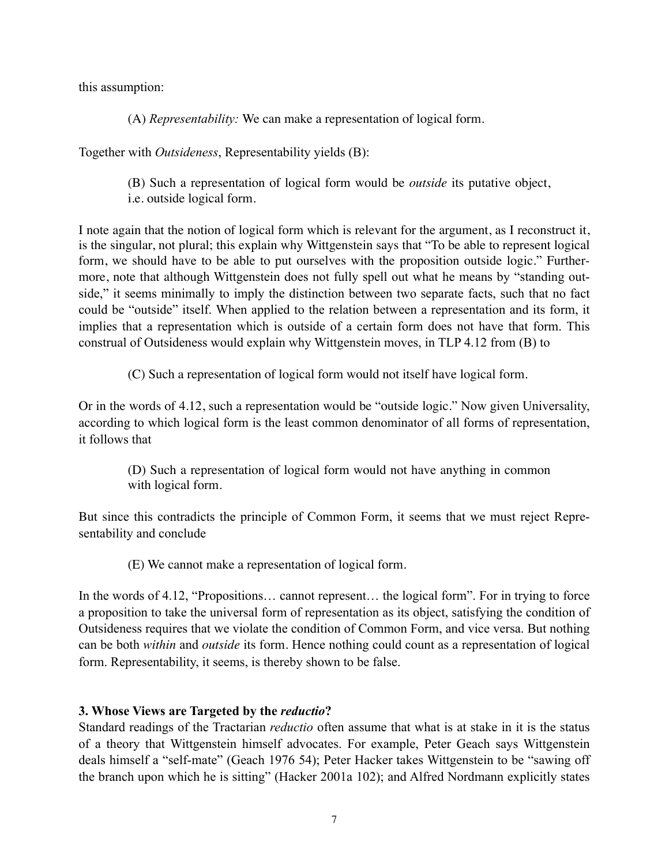this assumption:

(A) *Representability:* We can make a representation of logical form.

Together with *Outsideness*, Representability yields (B):

(B) Such a representation of logical form would be *outside* its putative object, i.e. outside logical form.

I note again that the notion of logical form which is relevant for the argument, as I reconstruct it, is the singular, not plural; this explain why Wittgenstein says that "To be able to represent logical form, we should have to be able to put ourselves with the proposition outside logic." Furthermore, note that although Wittgenstein does not fully spell out what he means by "standing outside," it seems minimally to imply the distinction between two separate facts, such that no fact could be "outside" itself. When applied to the relation between a representation and its form, it implies that a representation which is outside of a certain form does not have that form. This construal of Outsideness would explain why Wittgenstein moves, in TLP 4.12 from (B) to

(C) Such a representation of logical form would not itself have logical form.

Or in the words of 4.12, such a representation would be "outside logic." Now given Universality, according to which logical form is the least common denominator of all forms of representation, it follows that

(D) Such a representation of logical form would not have anything in common with logical form.

But since this contradicts the principle of Common Form, it seems that we must reject Representability and conclude

(E) We cannot make a representation of logical form.

In the words of 4.12, "Propositions… cannot represent… the logical form". For in trying to force a proposition to take the universal form of representation as its object, satisfying the condition of Outsideness requires that we violate the condition of Common Form, and vice versa. But nothing can be both *within* and *outside* its form. Hence nothing could count as a representation of logical form. Representability, it seems, is thereby shown to be false.

# **3. Whose Views are Targeted by the** *reductio***?**

Standard readings of the Tractarian *reductio* often assume that what is at stake in it is the status of a theory that Wittgenstein himself advocates. For example, Peter Geach says Wittgenstein deals himself a "self-mate" (Geach 1976 54); Peter Hacker takes Wittgenstein to be "sawing off the branch upon which he is sitting" (Hacker 2001a 102); and Alfred Nordmann explicitly states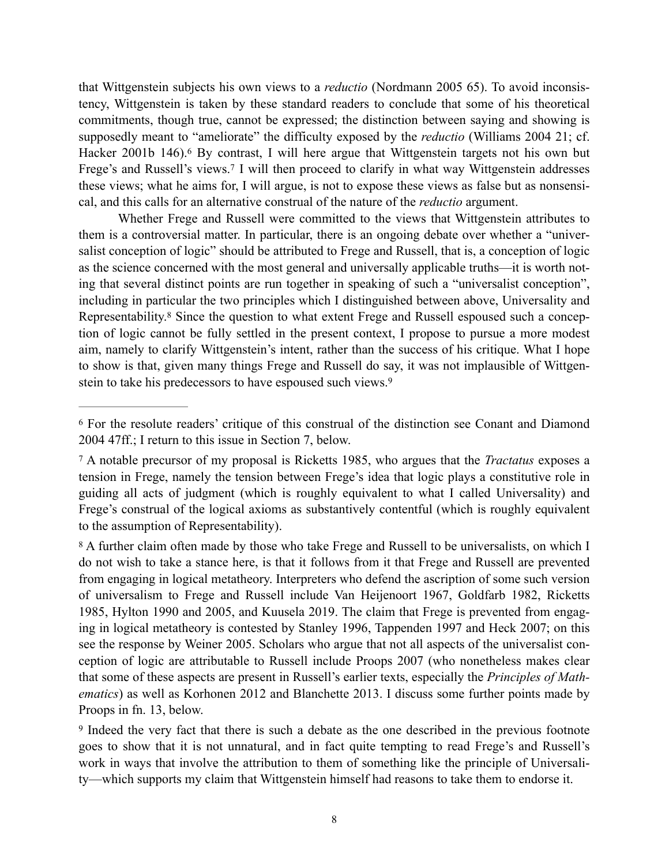<span id="page-7-4"></span>that Wittgenstein subjects his own views to a *reductio* (Nordmann 2005 65). To avoid inconsistency, Wittgenstein is taken by these standard readers to conclude that some of his theoretical commitments, though true, cannot be expressed; the distinction between saying and showing is supposedly meant to "ameliorate" the difficulty exposed by the *reductio* (Williams 2004 21; cf. Hacker2001b 14[6](#page-7-0)).<sup>6</sup> By contrast, I will here argue that Wittgenstein targets not his own but Frege's and Russell's views.<sup>[7](#page-7-1)</sup> I will then proceed to clarify in what way Wittgenstein addresses these views; what he aims for, I will argue, is not to expose these views as false but as nonsensical, and this calls for an alternative construal of the nature of the *reductio* argument.

<span id="page-7-6"></span><span id="page-7-5"></span>Whether Frege and Russell were committed to the views that Wittgenstein attributes to them is a controversial matter. In particular, there is an ongoing debate over whether a "universalist conception of logic" should be attributed to Frege and Russell, that is, a conception of logic as the science concerned with the most general and universally applicable truths—it is worth noting that several distinct points are run together in speaking of such a "universalist conception", including in particular the two principles which I distinguished between above, Universality and Representability.[8](#page-7-2) Since the question to what extent Frege and Russell espoused such a conception of logic cannot be fully settled in the present context, I propose to pursue a more modest aim, namely to clarify Wittgenstein's intent, rather than the success of his critique. What I hope to show is that, given many things Frege and Russell do say, it was not implausible of Wittgenstein to take his predecessors to have espoused such views[.](#page-7-3) [9](#page-7-3)

<span id="page-7-7"></span><span id="page-7-0"></span>For the resolute readers' critique of this construal of the distinction see Conant and Diamond [6](#page-7-4) 2004 47ff.; I return to this issue in Section 7, below.

<span id="page-7-1"></span>A notable precursor of my proposal is Ricketts 1985, who argues that the *Tractatus* exposes a [7](#page-7-5) tension in Frege, namely the tension between Frege's idea that logic plays a constitutive role in guiding all acts of judgment (which is roughly equivalent to what I called Universality) and Frege's construal of the logical axioms as substantively contentful (which is roughly equivalent to the assumption of Representability).

<span id="page-7-2"></span><sup>&</sup>lt;sup>[8](#page-7-6)</sup> A further claim often made by those who take Frege and Russell to be universalists, on which I do not wish to take a stance here, is that it follows from it that Frege and Russell are prevented from engaging in logical metatheory. Interpreters who defend the ascription of some such version of universalism to Frege and Russell include Van Heijenoort 1967, Goldfarb 1982, Ricketts 1985, Hylton 1990 and 2005, and Kuusela 2019. The claim that Frege is prevented from engaging in logical metatheory is contested by Stanley 1996, Tappenden 1997 and Heck 2007; on this see the response by Weiner 2005. Scholars who argue that not all aspects of the universalist conception of logic are attributable to Russell include Proops 2007 (who nonetheless makes clear that some of these aspects are present in Russell's earlier texts, especially the *Principles of Mathematics*) as well as Korhonen 2012 and Blanchette 2013. I discuss some further points made by Proops in fn. 13, below.

<span id="page-7-3"></span><sup>&</sup>lt;sup>[9](#page-7-7)</sup> Indeed the very fact that there is such a debate as the one described in the previous footnote goes to show that it is not unnatural, and in fact quite tempting to read Frege's and Russell's work in ways that involve the attribution to them of something like the principle of Universality—which supports my claim that Wittgenstein himself had reasons to take them to endorse it.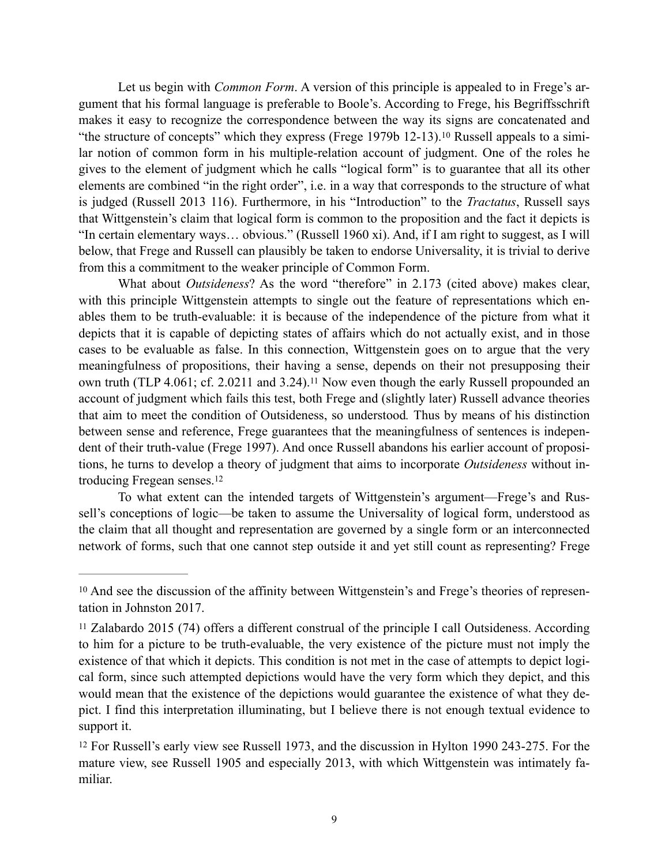<span id="page-8-3"></span>Let us begin with *Common Form*. A version of this principle is appealed to in Frege's argument that his formal language is preferable to Boole's. According to Frege, his Begriffsschrift makes it easy to recognize the correspondence between the way its signs are concatenated and "the structure of concepts" which they express (Frege 1979b  $12-13$ )[.](#page-8-0)<sup>10</sup> Russell appeals to a similar notion of common form in his multiple-relation account of judgment. One of the roles he gives to the element of judgment which he calls "logical form" is to guarantee that all its other elements are combined "in the right order", i.e. in a way that corresponds to the structure of what is judged (Russell 2013 116). Furthermore, in his "Introduction" to the *Tractatus*, Russell says that Wittgenstein's claim that logical form is common to the proposition and the fact it depicts is "In certain elementary ways… obvious." (Russell 1960 xi). And, if I am right to suggest, as I will below, that Frege and Russell can plausibly be taken to endorse Universality, it is trivial to derive from this a commitment to the weaker principle of Common Form.

<span id="page-8-4"></span>What about *Outsideness*? As the word "therefore" in 2.173 (cited above) makes clear, with this principle Wittgenstein attempts to single out the feature of representations which enables them to be truth-evaluable: it is because of the independence of the picture from what it depicts that it is capable of depicting states of affairs which do not actually exist, and in those cases to be evaluable as false. In this connection, Wittgenstein goes on to argue that the very meaningfulness of propositions, their having a sense, depends on their not presupposing their owntruth (TLP 4.061; cf. 2.02[11](#page-8-1) and 3.24).<sup>11</sup> Now even though the early Russell propounded an account of judgment which fails this test, both Frege and (slightly later) Russell advance theories that aim to meet the condition of Outsideness, so understood*.* Thus by means of his distinction between sense and reference, Frege guarantees that the meaningfulness of sentences is independent of their truth-value (Frege 1997). And once Russell abandons his earlier account of propositions, he turns to develop a theory of judgment that aims to incorporate *Outsideness* without introducing Fregean senses[.12](#page-8-2)

<span id="page-8-5"></span>To what extent can the intended targets of Wittgenstein's argument—Frege's and Russell's conceptions of logic—be taken to assume the Universality of logical form, understood as the claim that all thought and representation are governed by a single form or an interconnected network of forms, such that one cannot step outside it and yet still count as representing? Frege

<span id="page-8-0"></span><sup>&</sup>lt;sup>[10](#page-8-3)</sup> And see the discussion of the affinity between Wittgenstein's and Frege's theories of representation in Johnston 2017.

<span id="page-8-1"></span><sup>&</sup>lt;sup>11</sup>Zalabardo 2015 (74) offers a different construal of the principle I call Outsideness. According to him for a picture to be truth-evaluable, the very existence of the picture must not imply the existence of that which it depicts. This condition is not met in the case of attempts to depict logical form, since such attempted depictions would have the very form which they depict, and this would mean that the existence of the depictions would guarantee the existence of what they depict. I find this interpretation illuminating, but I believe there is not enough textual evidence to support it.

<span id="page-8-2"></span><sup>&</sup>lt;sup>[12](#page-8-5)</sup> For Russell's early view see Russell 1973, and the discussion in Hylton 1990 243-275. For the mature view, see Russell 1905 and especially 2013, with which Wittgenstein was intimately familiar.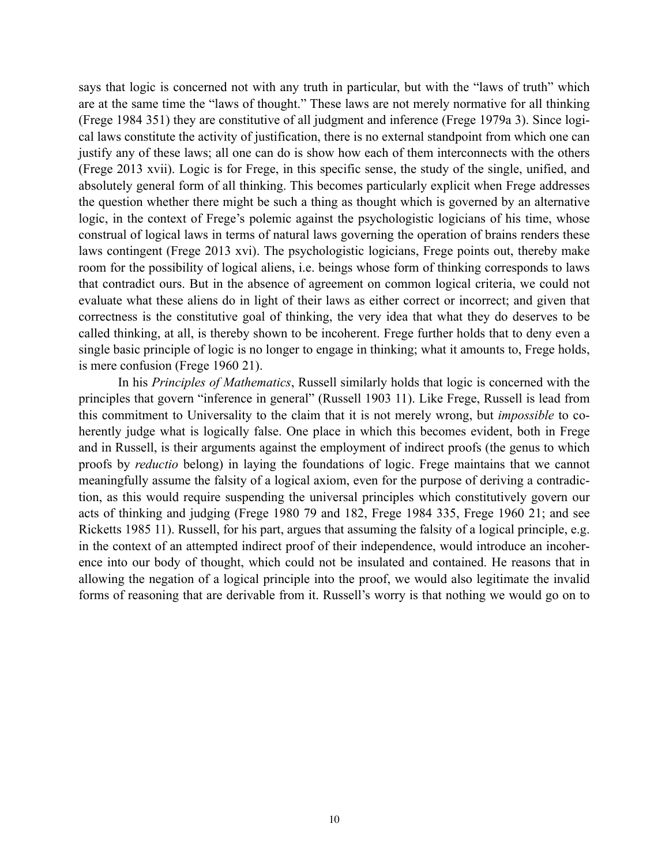says that logic is concerned not with any truth in particular, but with the "laws of truth" which are at the same time the "laws of thought." These laws are not merely normative for all thinking (Frege 1984 351) they are constitutive of all judgment and inference (Frege 1979a 3). Since logical laws constitute the activity of justification, there is no external standpoint from which one can justify any of these laws; all one can do is show how each of them interconnects with the others (Frege 2013 xvii). Logic is for Frege, in this specific sense, the study of the single, unified, and absolutely general form of all thinking. This becomes particularly explicit when Frege addresses the question whether there might be such a thing as thought which is governed by an alternative logic, in the context of Frege's polemic against the psychologistic logicians of his time, whose construal of logical laws in terms of natural laws governing the operation of brains renders these laws contingent (Frege 2013 xvi). The psychologistic logicians, Frege points out, thereby make room for the possibility of logical aliens, i.e. beings whose form of thinking corresponds to laws that contradict ours. But in the absence of agreement on common logical criteria, we could not evaluate what these aliens do in light of their laws as either correct or incorrect; and given that correctness is the constitutive goal of thinking, the very idea that what they do deserves to be called thinking, at all, is thereby shown to be incoherent. Frege further holds that to deny even a single basic principle of logic is no longer to engage in thinking; what it amounts to, Frege holds, is mere confusion (Frege 1960 21).

In his *Principles of Mathematics*, Russell similarly holds that logic is concerned with the principles that govern "inference in general" (Russell 1903 11). Like Frege, Russell is lead from this commitment to Universality to the claim that it is not merely wrong, but *impossible* to coherently judge what is logically false. One place in which this becomes evident, both in Frege and in Russell, is their arguments against the employment of indirect proofs (the genus to which proofs by *reductio* belong) in laying the foundations of logic. Frege maintains that we cannot meaningfully assume the falsity of a logical axiom, even for the purpose of deriving a contradiction, as this would require suspending the universal principles which constitutively govern our acts of thinking and judging (Frege 1980 79 and 182, Frege 1984 335, Frege 1960 21; and see Ricketts 1985 11). Russell, for his part, argues that assuming the falsity of a logical principle, e.g. in the context of an attempted indirect proof of their independence, would introduce an incoherence into our body of thought, which could not be insulated and contained. He reasons that in allowing the negation of a logical principle into the proof, we would also legitimate the invalid forms of reasoning that are derivable from it. Russell's worry is that nothing we would go on to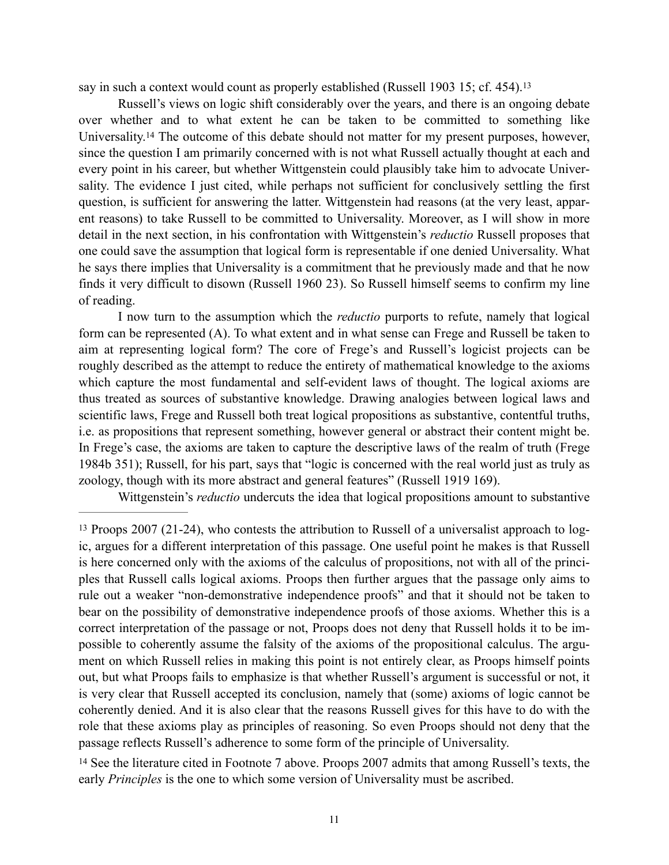<span id="page-10-2"></span>say in such a context would count as properly established (Russell 1903 15; cf. 454).[13](#page-10-0)

<span id="page-10-3"></span>Russell's views on logic shift considerably over the years, and there is an ongoing debate over whether and to what extent he can be taken to be committed to something like Universality.<sup>14</sup>The outcome of this debate should not matter for my present purposes, however, since the question I am primarily concerned with is not what Russell actually thought at each and every point in his career, but whether Wittgenstein could plausibly take him to advocate Universality. The evidence I just cited, while perhaps not sufficient for conclusively settling the first question, is sufficient for answering the latter. Wittgenstein had reasons (at the very least, apparent reasons) to take Russell to be committed to Universality. Moreover, as I will show in more detail in the next section, in his confrontation with Wittgenstein's *reductio* Russell proposes that one could save the assumption that logical form is representable if one denied Universality. What he says there implies that Universality is a commitment that he previously made and that he now finds it very difficult to disown (Russell 1960 23). So Russell himself seems to confirm my line of reading.

I now turn to the assumption which the *reductio* purports to refute, namely that logical form can be represented (A). To what extent and in what sense can Frege and Russell be taken to aim at representing logical form? The core of Frege's and Russell's logicist projects can be roughly described as the attempt to reduce the entirety of mathematical knowledge to the axioms which capture the most fundamental and self-evident laws of thought. The logical axioms are thus treated as sources of substantive knowledge. Drawing analogies between logical laws and scientific laws, Frege and Russell both treat logical propositions as substantive, contentful truths, i.e. as propositions that represent something, however general or abstract their content might be. In Frege's case, the axioms are taken to capture the descriptive laws of the realm of truth (Frege 1984b 351); Russell, for his part, says that "logic is concerned with the real world just as truly as zoology, though with its more abstract and general features" (Russell 1919 169).

Wittgenstein's *reductio* undercuts the idea that logical propositions amount to substantive

<span id="page-10-1"></span><sup>[14](#page-10-3)</sup> See the literature cited in Footnote 7 above. Proops 2007 admits that among Russell's texts, the early *Principles* is the one to which some version of Universality must be ascribed.

<span id="page-10-0"></span>[<sup>13</sup>](#page-10-2) Proops 2007 (21-24), who contests the attribution to Russell of a universalist approach to logic, argues for a different interpretation of this passage. One useful point he makes is that Russell is here concerned only with the axioms of the calculus of propositions, not with all of the principles that Russell calls logical axioms. Proops then further argues that the passage only aims to rule out a weaker "non-demonstrative independence proofs" and that it should not be taken to bear on the possibility of demonstrative independence proofs of those axioms. Whether this is a correct interpretation of the passage or not, Proops does not deny that Russell holds it to be impossible to coherently assume the falsity of the axioms of the propositional calculus. The argument on which Russell relies in making this point is not entirely clear, as Proops himself points out, but what Proops fails to emphasize is that whether Russell's argument is successful or not, it is very clear that Russell accepted its conclusion, namely that (some) axioms of logic cannot be coherently denied. And it is also clear that the reasons Russell gives for this have to do with the role that these axioms play as principles of reasoning. So even Proops should not deny that the passage reflects Russell's adherence to some form of the principle of Universality.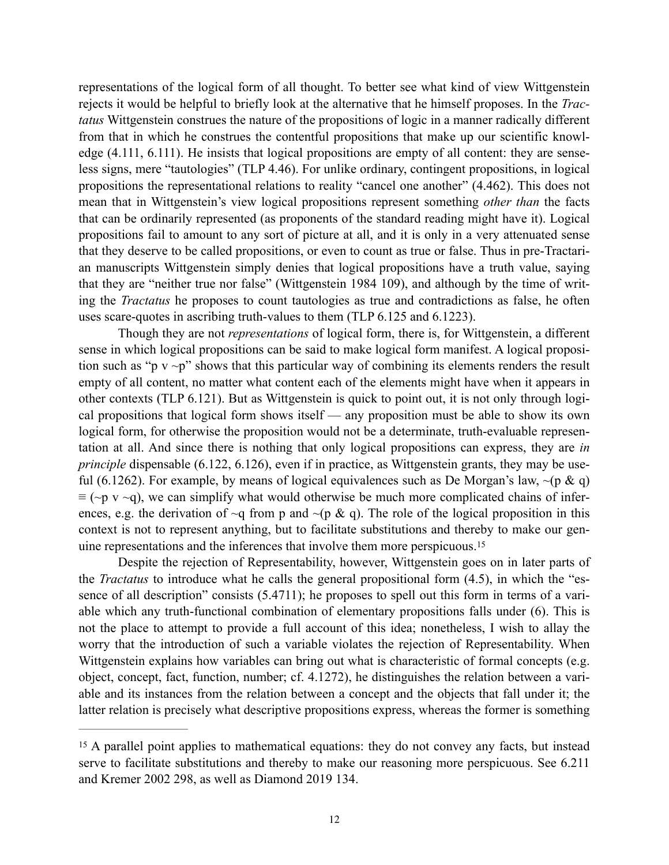representations of the logical form of all thought. To better see what kind of view Wittgenstein rejects it would be helpful to briefly look at the alternative that he himself proposes. In the *Tractatus* Wittgenstein construes the nature of the propositions of logic in a manner radically different from that in which he construes the contentful propositions that make up our scientific knowledge (4.111, 6.111). He insists that logical propositions are empty of all content: they are senseless signs, mere "tautologies" (TLP 4.46). For unlike ordinary, contingent propositions, in logical propositions the representational relations to reality "cancel one another" (4.462). This does not mean that in Wittgenstein's view logical propositions represent something *other than* the facts that can be ordinarily represented (as proponents of the standard reading might have it). Logical propositions fail to amount to any sort of picture at all, and it is only in a very attenuated sense that they deserve to be called propositions, or even to count as true or false. Thus in pre-Tractarian manuscripts Wittgenstein simply denies that logical propositions have a truth value, saying that they are "neither true nor false" (Wittgenstein 1984 109), and although by the time of writing the *Tractatus* he proposes to count tautologies as true and contradictions as false, he often uses scare-quotes in ascribing truth-values to them (TLP 6.125 and 6.1223).

Though they are not *representations* of logical form, there is, for Wittgenstein, a different sense in which logical propositions can be said to make logical form manifest. A logical proposition such as "p  $v \sim p$ " shows that this particular way of combining its elements renders the result empty of all content, no matter what content each of the elements might have when it appears in other contexts (TLP 6.121). But as Wittgenstein is quick to point out, it is not only through logical propositions that logical form shows itself — any proposition must be able to show its own logical form, for otherwise the proposition would not be a determinate, truth-evaluable representation at all. And since there is nothing that only logical propositions can express, they are *in principle* dispensable (6.122, 6.126), even if in practice, as Wittgenstein grants, they may be useful (6.1262). For example, by means of logical equivalences such as De Morgan's law,  $\sim (p \& q)$  $\equiv$  (~p v ~q), we can simplify what would otherwise be much more complicated chains of inferences, e.g. the derivation of  $\sim q$  from p and  $\sim (p \& q)$ . The role of the logical proposition in this context is not to represent anything, but to facilitate substitutions and thereby to make our genuine representations and the inferences that involve them more perspicuous.[15](#page-11-0)

<span id="page-11-1"></span>Despite the rejection of Representability, however, Wittgenstein goes on in later parts of the *Tractatus* to introduce what he calls the general propositional form (4.5), in which the "essence of all description" consists (5.4711); he proposes to spell out this form in terms of a variable which any truth-functional combination of elementary propositions falls under (6). This is not the place to attempt to provide a full account of this idea; nonetheless, I wish to allay the worry that the introduction of such a variable violates the rejection of Representability. When Wittgenstein explains how variables can bring out what is characteristic of formal concepts (e.g. object, concept, fact, function, number; cf. 4.1272), he distinguishes the relation between a variable and its instances from the relation between a concept and the objects that fall under it; the latter relation is precisely what descriptive propositions express, whereas the former is something

<span id="page-11-0"></span><sup>&</sup>lt;sup>[15](#page-11-1)</sup> A parallel point applies to mathematical equations: they do not convey any facts, but instead serve to facilitate substitutions and thereby to make our reasoning more perspicuous. See 6.211 and Kremer 2002 298, as well as Diamond 2019 134.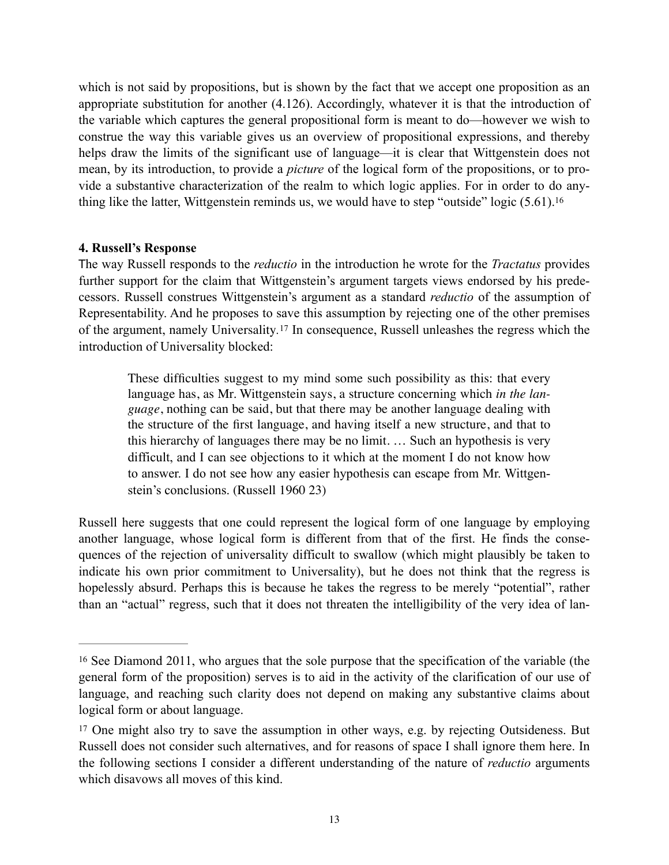which is not said by propositions, but is shown by the fact that we accept one proposition as an appropriate substitution for another (4.126). Accordingly, whatever it is that the introduction of the variable which captures the general propositional form is meant to do—however we wish to construe the way this variable gives us an overview of propositional expressions, and thereby helps draw the limits of the significant use of language—it is clear that Wittgenstein does not mean, by its introduction, to provide a *picture* of the logical form of the propositions, or to provide a substantive characterization of the realm to which logic applies. For in order to do anything like the latter, Wittgenstein reminds us, we would have to step "outside" logic (5.61)[.16](#page-12-0)

# **4. Russell's Response**

The way Russell responds to the *reductio* in the introduction he wrote for the *Tractatus* provides further support for the claim that Wittgenstein's argument targets views endorsed by his predecessors. Russell construes Wittgenstein's argument as a standard *reductio* of the assumption of Representability. And he proposes to save this assumption by rejecting one of the other premises of the argument, namely Universality.<sup>[17](#page-12-1)</sup> In consequence, Russell unleashes the regress which the introduction of Universality blocked:

<span id="page-12-3"></span><span id="page-12-2"></span>These difficulties suggest to my mind some such possibility as this: that every language has, as Mr. Wittgenstein says, a structure concerning which *in the language*, nothing can be said, but that there may be another language dealing with the structure of the first language, and having itself a new structure, and that to this hierarchy of languages there may be no limit. … Such an hypothesis is very difficult, and I can see objections to it which at the moment I do not know how to answer. I do not see how any easier hypothesis can escape from Mr. Wittgenstein's conclusions. (Russell 1960 23)

Russell here suggests that one could represent the logical form of one language by employing another language, whose logical form is different from that of the first. He finds the consequences of the rejection of universality difficult to swallow (which might plausibly be taken to indicate his own prior commitment to Universality), but he does not think that the regress is hopelessly absurd. Perhaps this is because he takes the regress to be merely "potential", rather than an "actual" regress, such that it does not threaten the intelligibility of the very idea of lan-

<span id="page-12-0"></span><sup>&</sup>lt;sup>[16](#page-12-2)</sup> See Diamond 2011, who argues that the sole purpose that the specification of the variable (the general form of the proposition) serves is to aid in the activity of the clarification of our use of language, and reaching such clarity does not depend on making any substantive claims about logical form or about language.

<span id="page-12-1"></span><sup>&</sup>lt;sup>[17](#page-12-3)</sup> One might also try to save the assumption in other ways, e.g. by rejecting Outsideness. But Russell does not consider such alternatives, and for reasons of space I shall ignore them here. In the following sections I consider a different understanding of the nature of *reductio* arguments which disavows all moves of this kind.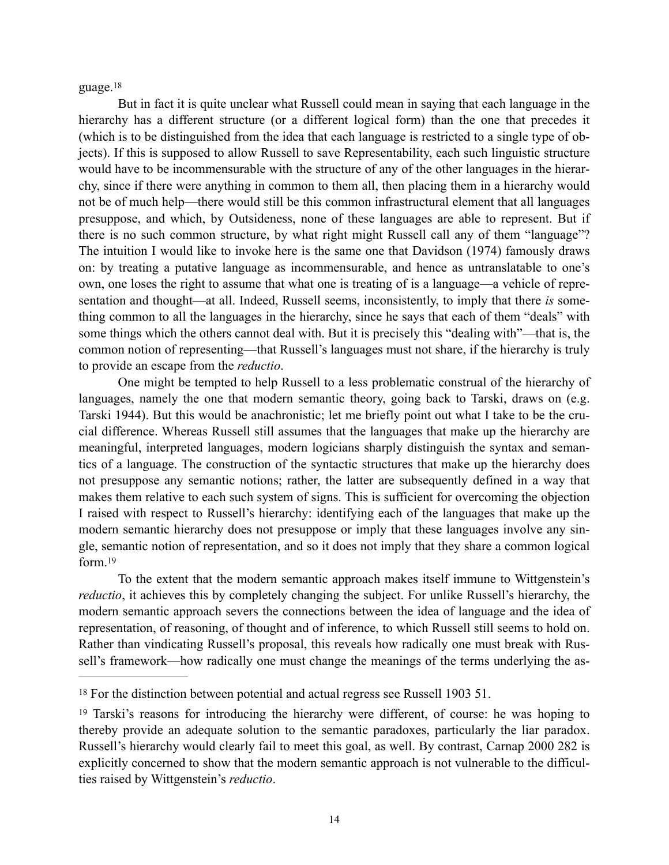<span id="page-13-2"></span>guage.[18](#page-13-0)

But in fact it is quite unclear what Russell could mean in saying that each language in the hierarchy has a different structure (or a different logical form) than the one that precedes it (which is to be distinguished from the idea that each language is restricted to a single type of objects). If this is supposed to allow Russell to save Representability, each such linguistic structure would have to be incommensurable with the structure of any of the other languages in the hierarchy, since if there were anything in common to them all, then placing them in a hierarchy would not be of much help—there would still be this common infrastructural element that all languages presuppose, and which, by Outsideness, none of these languages are able to represent. But if there is no such common structure, by what right might Russell call any of them "language"? The intuition I would like to invoke here is the same one that Davidson (1974) famously draws on: by treating a putative language as incommensurable, and hence as untranslatable to one's own, one loses the right to assume that what one is treating of is a language—a vehicle of representation and thought—at all. Indeed, Russell seems, inconsistently, to imply that there *is* something common to all the languages in the hierarchy, since he says that each of them "deals" with some things which the others cannot deal with. But it is precisely this "dealing with"—that is, the common notion of representing—that Russell's languages must not share, if the hierarchy is truly to provide an escape from the *reductio*.

One might be tempted to help Russell to a less problematic construal of the hierarchy of languages, namely the one that modern semantic theory, going back to Tarski, draws on (e.g. Tarski 1944). But this would be anachronistic; let me briefly point out what I take to be the crucial difference. Whereas Russell still assumes that the languages that make up the hierarchy are meaningful, interpreted languages, modern logicians sharply distinguish the syntax and semantics of a language. The construction of the syntactic structures that make up the hierarchy does not presuppose any semantic notions; rather, the latter are subsequently defined in a way that makes them relative to each such system of signs. This is sufficient for overcoming the objection I raised with respect to Russell's hierarchy: identifying each of the languages that make up the modern semantic hierarchy does not presuppose or imply that these languages involve any single, semantic notion of representation, and so it does not imply that they share a common logical form 19

<span id="page-13-3"></span>To the extent that the modern semantic approach makes itself immune to Wittgenstein's *reductio*, it achieves this by completely changing the subject. For unlike Russell's hierarchy, the modern semantic approach severs the connections between the idea of language and the idea of representation, of reasoning, of thought and of inference, to which Russell still seems to hold on. Rather than vindicating Russell's proposal, this reveals how radically one must break with Russell's framework—how radically one must change the meanings of the terms underlying the as-

<span id="page-13-0"></span><sup>&</sup>lt;sup>[18](#page-13-2)</sup> For the distinction between potential and actual regress see Russell 1903 51.

<span id="page-13-1"></span><sup>&</sup>lt;sup>[19](#page-13-3)</sup> Tarski's reasons for introducing the hierarchy were different, of course: he was hoping to thereby provide an adequate solution to the semantic paradoxes, particularly the liar paradox. Russell's hierarchy would clearly fail to meet this goal, as well. By contrast, Carnap 2000 282 is explicitly concerned to show that the modern semantic approach is not vulnerable to the difficulties raised by Wittgenstein's *reductio*.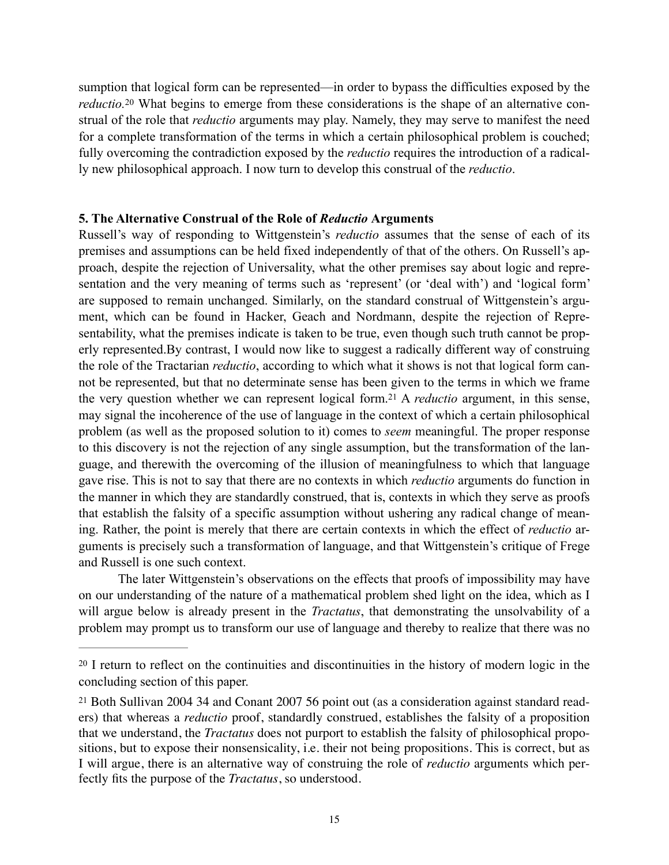<span id="page-14-2"></span>sumption that logical form can be represented—in order to bypass the difficulties exposed by the *reductio.*<sup>[20](#page-14-0)</sup> What begins to emerge from these considerations is the shape of an alternative construal of the role that *reductio* arguments may play. Namely, they may serve to manifest the need for a complete transformation of the terms in which a certain philosophical problem is couched; fully overcoming the contradiction exposed by the *reductio* requires the introduction of a radically new philosophical approach. I now turn to develop this construal of the *reductio*.

# **5. The Alternative Construal of the Role of** *Reductio* **Arguments**

<span id="page-14-3"></span>Russell's way of responding to Wittgenstein's *reductio* assumes that the sense of each of its premises and assumptions can be held fixed independently of that of the others. On Russell's approach, despite the rejection of Universality, what the other premises say about logic and representation and the very meaning of terms such as 'represent' (or 'deal with') and 'logical form' are supposed to remain unchanged. Similarly, on the standard construal of Wittgenstein's argument, which can be found in Hacker, Geach and Nordmann, despite the rejection of Representability, what the premises indicate is taken to be true, even though such truth cannot be properly represented.By contrast, I would now like to suggest a radically different way of construing the role of the Tractarian *reductio*, according to which what it shows is not that logical form cannot be represented, but that no determinate sense has been given to the terms in which we frame the very question whether we can represent logical form[.](#page-14-1)<sup>21</sup> A *reductio* argument, in this sense, may signal the incoherence of the use of language in the context of which a certain philosophical problem (as well as the proposed solution to it) comes to *seem* meaningful. The proper response to this discovery is not the rejection of any single assumption, but the transformation of the language, and therewith the overcoming of the illusion of meaningfulness to which that language gave rise. This is not to say that there are no contexts in which *reductio* arguments do function in the manner in which they are standardly construed, that is, contexts in which they serve as proofs that establish the falsity of a specific assumption without ushering any radical change of meaning. Rather, the point is merely that there are certain contexts in which the effect of *reductio* arguments is precisely such a transformation of language, and that Wittgenstein's critique of Frege and Russell is one such context.

The later Wittgenstein's observations on the effects that proofs of impossibility may have on our understanding of the nature of a mathematical problem shed light on the idea, which as I will argue below is already present in the *Tractatus*, that demonstrating the unsolvability of a problem may prompt us to transform our use of language and thereby to realize that there was no

<span id="page-14-0"></span><sup>&</sup>lt;sup>[20](#page-14-2)</sup> I return to reflect on the continuities and discontinuities in the history of modern logic in the concluding section of this paper.

<span id="page-14-1"></span>[<sup>21</sup>](#page-14-3) Both Sullivan 2004 34 and Conant 2007 56 point out (as a consideration against standard readers) that whereas a *reductio* proof, standardly construed, establishes the falsity of a proposition that we understand, the *Tractatus* does not purport to establish the falsity of philosophical propositions, but to expose their nonsensicality, i.e. their not being propositions. This is correct, but as I will argue, there is an alternative way of construing the role of *reductio* arguments which perfectly fits the purpose of the *Tractatus*, so understood.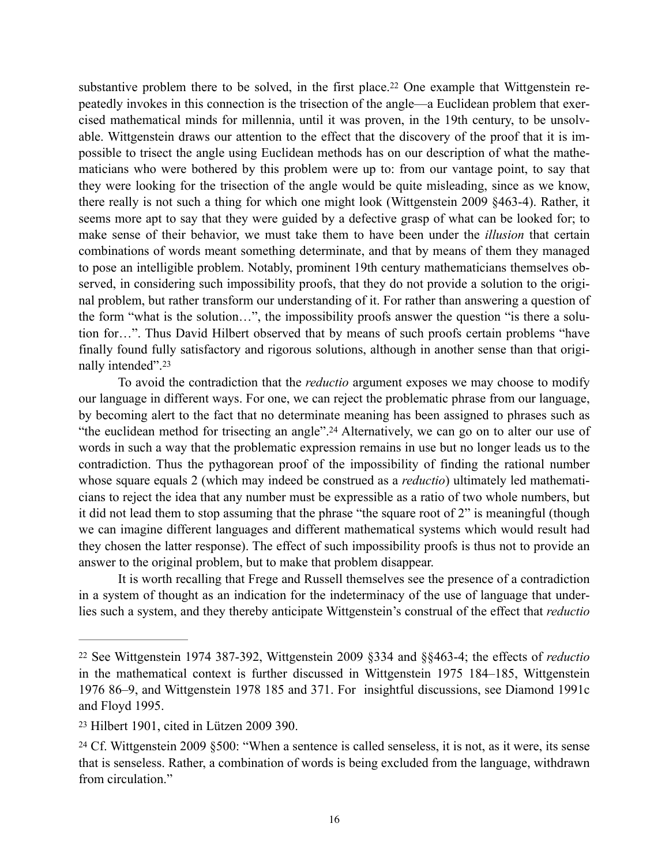<span id="page-15-3"></span>substantive problem there to be solved, in the first place.<sup>[22](#page-15-0)</sup> One example that Wittgenstein repeatedly invokes in this connection is the trisection of the angle—a Euclidean problem that exercised mathematical minds for millennia, until it was proven, in the 19th century, to be unsolvable. Wittgenstein draws our attention to the effect that the discovery of the proof that it is impossible to trisect the angle using Euclidean methods has on our description of what the mathematicians who were bothered by this problem were up to: from our vantage point, to say that they were looking for the trisection of the angle would be quite misleading, since as we know, there really is not such a thing for which one might look (Wittgenstein 2009 §463-4). Rather, it seems more apt to say that they were guided by a defective grasp of what can be looked for; to make sense of their behavior, we must take them to have been under the *illusion* that certain combinations of words meant something determinate, and that by means of them they managed to pose an intelligible problem. Notably, prominent 19th century mathematicians themselves observed, in considering such impossibility proofs, that they do not provide a solution to the original problem, but rather transform our understanding of it. For rather than answering a question of the form "what is the solution…", the impossibility proofs answer the question "is there a solution for…". Thus David Hilbert observed that by means of such proofs certain problems "have finally found fully satisfactory and rigorous solutions, although in another sense than that originally intended".[23](#page-15-1)

<span id="page-15-5"></span><span id="page-15-4"></span>To avoid the contradiction that the *reductio* argument exposes we may choose to modify our language in different ways. For one, we can reject the problematic phrase from our language, by becoming alert to the fact that no determinate meaning has been assigned to phrases such as "the euclidean method for trisecting an angle"[.](#page-15-2)<sup>[24](#page-15-2)</sup> Alternatively, we can go on to alter our use of words in such a way that the problematic expression remains in use but no longer leads us to the contradiction. Thus the pythagorean proof of the impossibility of finding the rational number whose square equals 2 (which may indeed be construed as a *reductio*) ultimately led mathematicians to reject the idea that any number must be expressible as a ratio of two whole numbers, but it did not lead them to stop assuming that the phrase "the square root of 2" is meaningful (though we can imagine different languages and different mathematical systems which would result had they chosen the latter response). The effect of such impossibility proofs is thus not to provide an answer to the original problem, but to make that problem disappear.

It is worth recalling that Frege and Russell themselves see the presence of a contradiction in a system of thought as an indication for the indeterminacy of the use of language that underlies such a system, and they thereby anticipate Wittgenstein's construal of the effect that *reductio*

<span id="page-15-0"></span>[<sup>22</sup>](#page-15-3) See Wittgenstein 1974 387-392, Wittgenstein 2009 §334 and §§463-4; the effects of *reductio* in the mathematical context is further discussed in Wittgenstein 1975 184–185, Wittgenstein 1976 86–9, and Wittgenstein 1978 185 and 371. For insightful discussions, see Diamond 1991c and Floyd 1995.

<span id="page-15-1"></span><sup>&</sup>lt;sup>[23](#page-15-4)</sup> Hilbert 1901, cited in Lützen 2009 390.

<span id="page-15-2"></span><sup>&</sup>lt;sup>[24](#page-15-5)</sup> Cf. Wittgenstein 2009 §500: "When a sentence is called senseless, it is not, as it were, its sense that is senseless. Rather, a combination of words is being excluded from the language, withdrawn from circulation."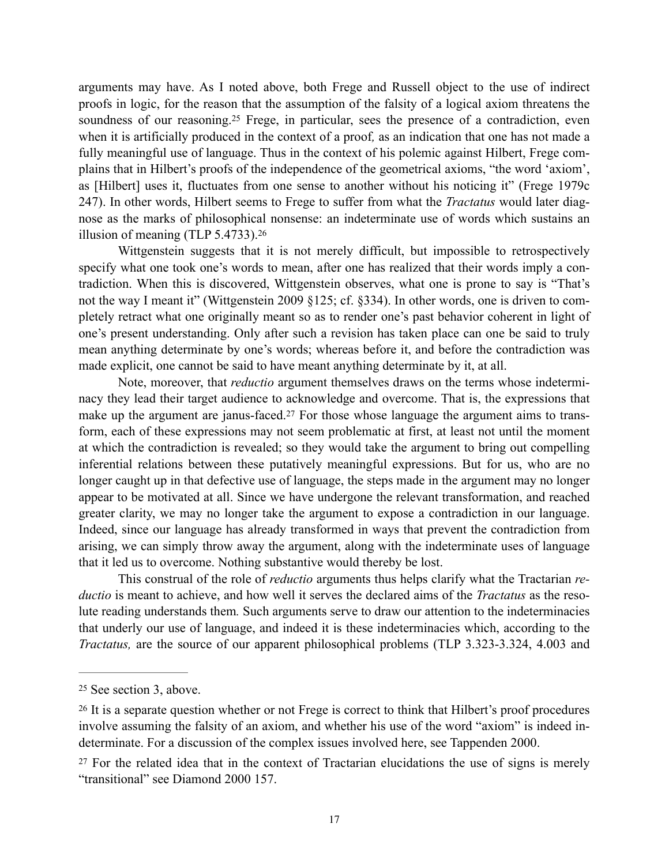<span id="page-16-3"></span>arguments may have. As I noted above, both Frege and Russell object to the use of indirect proofs in logic, for the reason that the assumption of the falsity of a logical axiom threatens the soundness of our reasoning[.](#page-16-0)<sup>[25](#page-16-0)</sup> Frege, in particular, sees the presence of a contradiction, even when it is artificially produced in the context of a proof*,* as an indication that one has not made a fully meaningful use of language. Thus in the context of his polemic against Hilbert, Frege complains that in Hilbert's proofs of the independence of the geometrical axioms, "the word 'axiom', as [Hilbert] uses it, fluctuates from one sense to another without his noticing it" (Frege 1979c 247). In other words, Hilbert seems to Frege to suffer from what the *Tractatus* would later diagnose as the marks of philosophical nonsense: an indeterminate use of words which sustains an illusion of meaning (TLP 5.4733)[.26](#page-16-1)

<span id="page-16-4"></span>Wittgenstein suggests that it is not merely difficult, but impossible to retrospectively specify what one took one's words to mean, after one has realized that their words imply a contradiction. When this is discovered, Wittgenstein observes, what one is prone to say is "That's not the way I meant it" (Wittgenstein 2009 §125; cf. §334). In other words, one is driven to completely retract what one originally meant so as to render one's past behavior coherent in light of one's present understanding. Only after such a revision has taken place can one be said to truly mean anything determinate by one's words; whereas before it, and before the contradiction was made explicit, one cannot be said to have meant anything determinate by it, at all.

<span id="page-16-5"></span>Note, moreover, that *reductio* argument themselves draws on the terms whose indeterminacy they lead their target audience to acknowledge and overcome. That is, the expressions that make up the argument are janus-faced[.](#page-16-2)<sup>27</sup> For those whose language the argument aims to transform, each of these expressions may not seem problematic at first, at least not until the moment at which the contradiction is revealed; so they would take the argument to bring out compelling inferential relations between these putatively meaningful expressions. But for us, who are no longer caught up in that defective use of language, the steps made in the argument may no longer appear to be motivated at all. Since we have undergone the relevant transformation, and reached greater clarity, we may no longer take the argument to expose a contradiction in our language. Indeed, since our language has already transformed in ways that prevent the contradiction from arising, we can simply throw away the argument, along with the indeterminate uses of language that it led us to overcome. Nothing substantive would thereby be lost.

This construal of the role of *reductio* arguments thus helps clarify what the Tractarian *reductio* is meant to achieve, and how well it serves the declared aims of the *Tractatus* as the resolute reading understands them*.* Such arguments serve to draw our attention to the indeterminacies that underly our use of language, and indeed it is these indeterminacies which, according to the *Tractatus,* are the source of our apparent philosophical problems (TLP 3.323-3.324, 4.003 and

<span id="page-16-0"></span> $25$  See section 3, above.

<span id="page-16-1"></span><sup>&</sup>lt;sup>[26](#page-16-4)</sup> It is a separate question whether or not Frege is correct to think that Hilbert's proof procedures involve assuming the falsity of an axiom, and whether his use of the word "axiom" is indeed indeterminate. For a discussion of the complex issues involved here, see Tappenden 2000.

<span id="page-16-2"></span><sup>&</sup>lt;sup>[27](#page-16-5)</sup> For the related idea that in the context of Tractarian elucidations the use of signs is merely "transitional" see Diamond 2000 157.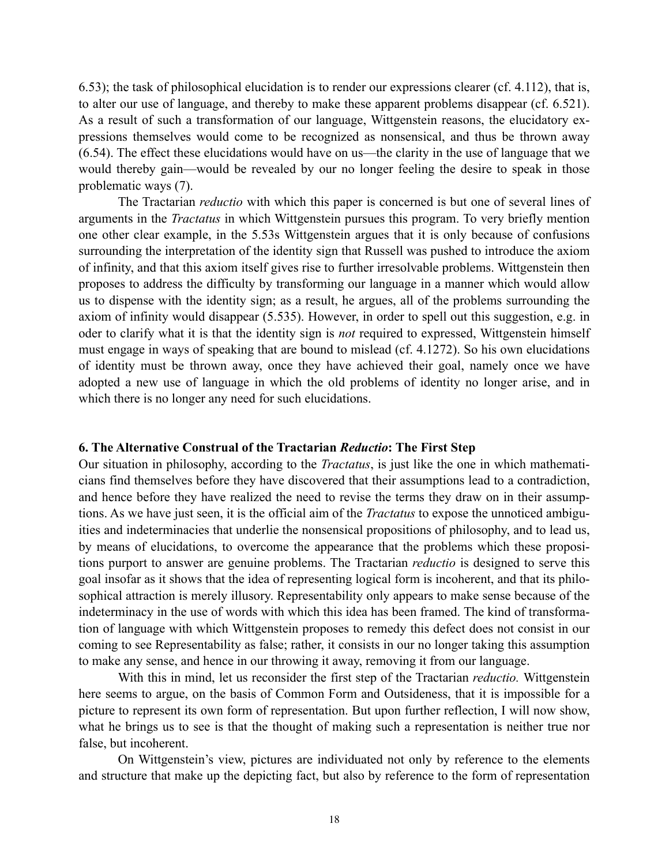6.53); the task of philosophical elucidation is to render our expressions clearer (cf. 4.112), that is, to alter our use of language, and thereby to make these apparent problems disappear (cf. 6.521). As a result of such a transformation of our language, Wittgenstein reasons, the elucidatory expressions themselves would come to be recognized as nonsensical, and thus be thrown away (6.54). The effect these elucidations would have on us—the clarity in the use of language that we would thereby gain—would be revealed by our no longer feeling the desire to speak in those problematic ways (7).

The Tractarian *reductio* with which this paper is concerned is but one of several lines of arguments in the *Tractatus* in which Wittgenstein pursues this program. To very briefly mention one other clear example, in the 5.53s Wittgenstein argues that it is only because of confusions surrounding the interpretation of the identity sign that Russell was pushed to introduce the axiom of infinity, and that this axiom itself gives rise to further irresolvable problems. Wittgenstein then proposes to address the difficulty by transforming our language in a manner which would allow us to dispense with the identity sign; as a result, he argues, all of the problems surrounding the axiom of infinity would disappear (5.535). However, in order to spell out this suggestion, e.g. in oder to clarify what it is that the identity sign is *not* required to expressed, Wittgenstein himself must engage in ways of speaking that are bound to mislead (cf. 4.1272). So his own elucidations of identity must be thrown away, once they have achieved their goal, namely once we have adopted a new use of language in which the old problems of identity no longer arise, and in which there is no longer any need for such elucidations.

#### **6. The Alternative Construal of the Tractarian** *Reductio***: The First Step**

Our situation in philosophy, according to the *Tractatus*, is just like the one in which mathematicians find themselves before they have discovered that their assumptions lead to a contradiction, and hence before they have realized the need to revise the terms they draw on in their assumptions. As we have just seen, it is the official aim of the *Tractatus* to expose the unnoticed ambiguities and indeterminacies that underlie the nonsensical propositions of philosophy, and to lead us, by means of elucidations, to overcome the appearance that the problems which these propositions purport to answer are genuine problems. The Tractarian *reductio* is designed to serve this goal insofar as it shows that the idea of representing logical form is incoherent, and that its philosophical attraction is merely illusory. Representability only appears to make sense because of the indeterminacy in the use of words with which this idea has been framed. The kind of transformation of language with which Wittgenstein proposes to remedy this defect does not consist in our coming to see Representability as false; rather, it consists in our no longer taking this assumption to make any sense, and hence in our throwing it away, removing it from our language.

With this in mind, let us reconsider the first step of the Tractarian *reductio.* Wittgenstein here seems to argue, on the basis of Common Form and Outsideness, that it is impossible for a picture to represent its own form of representation. But upon further reflection, I will now show, what he brings us to see is that the thought of making such a representation is neither true nor false, but incoherent.

On Wittgenstein's view, pictures are individuated not only by reference to the elements and structure that make up the depicting fact, but also by reference to the form of representation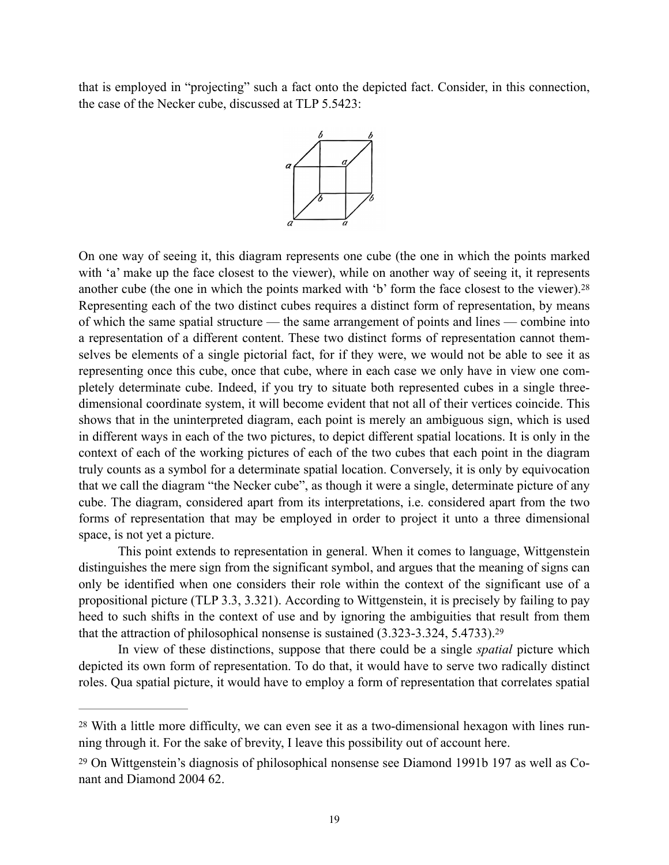that is employed in "projecting" such a fact onto the depicted fact. Consider, in this connection, the case of the Necker cube, discussed at TLP 5.5423:

<span id="page-18-2"></span>

On one way of seeing it, this diagram represents one cube (the one in which the points marked with 'a' make up the face closest to the viewer), while on another way of seeing it, it represents another cube (the one in which the points marked with 'b' form the face closest to the viewer).[28](#page-18-0) Representing each of the two distinct cubes requires a distinct form of representation, by means of which the same spatial structure — the same arrangement of points and lines — combine into a representation of a different content. These two distinct forms of representation cannot themselves be elements of a single pictorial fact, for if they were, we would not be able to see it as representing once this cube, once that cube, where in each case we only have in view one completely determinate cube. Indeed, if you try to situate both represented cubes in a single threedimensional coordinate system, it will become evident that not all of their vertices coincide. This shows that in the uninterpreted diagram, each point is merely an ambiguous sign, which is used in different ways in each of the two pictures, to depict different spatial locations. It is only in the context of each of the working pictures of each of the two cubes that each point in the diagram truly counts as a symbol for a determinate spatial location. Conversely, it is only by equivocation that we call the diagram "the Necker cube", as though it were a single, determinate picture of any cube. The diagram, considered apart from its interpretations, i.e. considered apart from the two forms of representation that may be employed in order to project it unto a three dimensional space, is not yet a picture.

This point extends to representation in general. When it comes to language, Wittgenstein distinguishes the mere sign from the significant symbol, and argues that the meaning of signs can only be identified when one considers their role within the context of the significant use of a propositional picture (TLP 3.3, 3.321). According to Wittgenstein, it is precisely by failing to pay heed to such shifts in the context of use and by ignoring the ambiguities that result from them that the attraction of philosophical nonsense is sustained (3.323-3.324, 5.4733)[.29](#page-18-1)

<span id="page-18-3"></span>In view of these distinctions, suppose that there could be a single *spatial* picture which depicted its own form of representation. To do that, it would have to serve two radically distinct roles. Qua spatial picture, it would have to employ a form of representation that correlates spatial

<span id="page-18-0"></span>[<sup>28</sup>](#page-18-2) With a little more difficulty, we can even see it as a two-dimensional hexagon with lines running through it. For the sake of brevity, I leave this possibility out of account here.

<span id="page-18-1"></span>[<sup>29</sup>](#page-18-3) On Wittgenstein's diagnosis of philosophical nonsense see Diamond 1991b 197 as well as Conant and Diamond 2004 62.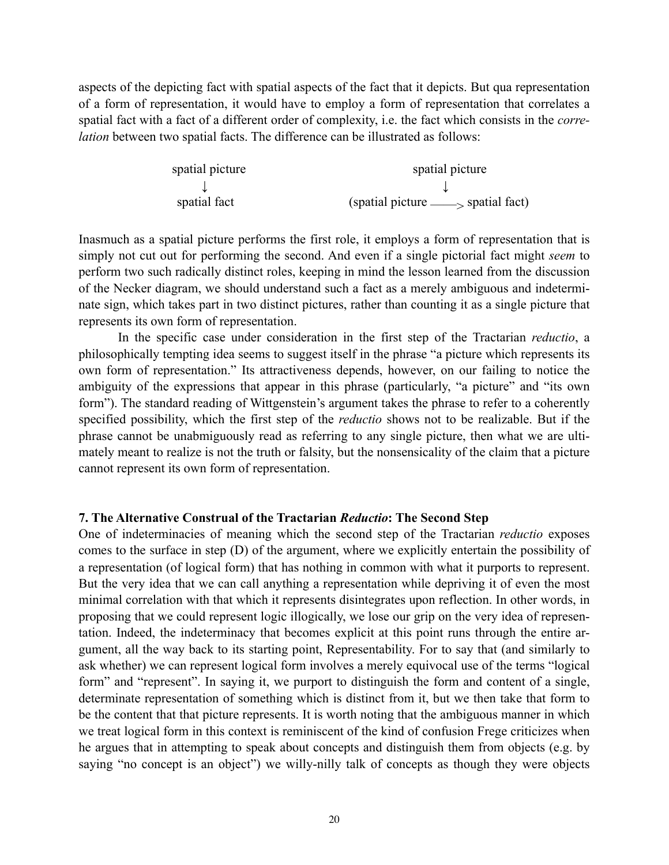aspects of the depicting fact with spatial aspects of the fact that it depicts. But qua representation of a form of representation, it would have to employ a form of representation that correlates a spatial fact with a fact of a different order of complexity, i.e. the fact which consists in the *correlation* between two spatial facts. The difference can be illustrated as follows:

spatial picture spatial picture ↓ ↓ spatial fact (spatial picture ——> spatial fact)

Inasmuch as a spatial picture performs the first role, it employs a form of representation that is simply not cut out for performing the second. And even if a single pictorial fact might *seem* to perform two such radically distinct roles, keeping in mind the lesson learned from the discussion of the Necker diagram, we should understand such a fact as a merely ambiguous and indeterminate sign, which takes part in two distinct pictures, rather than counting it as a single picture that represents its own form of representation.

In the specific case under consideration in the first step of the Tractarian *reductio*, a philosophically tempting idea seems to suggest itself in the phrase "a picture which represents its own form of representation." Its attractiveness depends, however, on our failing to notice the ambiguity of the expressions that appear in this phrase (particularly, "a picture" and "its own form"). The standard reading of Wittgenstein's argument takes the phrase to refer to a coherently specified possibility, which the first step of the *reductio* shows not to be realizable. But if the phrase cannot be unabmiguously read as referring to any single picture, then what we are ultimately meant to realize is not the truth or falsity, but the nonsensicality of the claim that a picture cannot represent its own form of representation.

### **7. The Alternative Construal of the Tractarian** *Reductio***: The Second Step**

One of indeterminacies of meaning which the second step of the Tractarian *reductio* exposes comes to the surface in step (D) of the argument, where we explicitly entertain the possibility of a representation (of logical form) that has nothing in common with what it purports to represent. But the very idea that we can call anything a representation while depriving it of even the most minimal correlation with that which it represents disintegrates upon reflection. In other words, in proposing that we could represent logic illogically, we lose our grip on the very idea of representation. Indeed, the indeterminacy that becomes explicit at this point runs through the entire argument, all the way back to its starting point, Representability. For to say that (and similarly to ask whether) we can represent logical form involves a merely equivocal use of the terms "logical form" and "represent". In saying it, we purport to distinguish the form and content of a single, determinate representation of something which is distinct from it, but we then take that form to be the content that that picture represents. It is worth noting that the ambiguous manner in which we treat logical form in this context is reminiscent of the kind of confusion Frege criticizes when he argues that in attempting to speak about concepts and distinguish them from objects (e.g. by saying "no concept is an object") we willy-nilly talk of concepts as though they were objects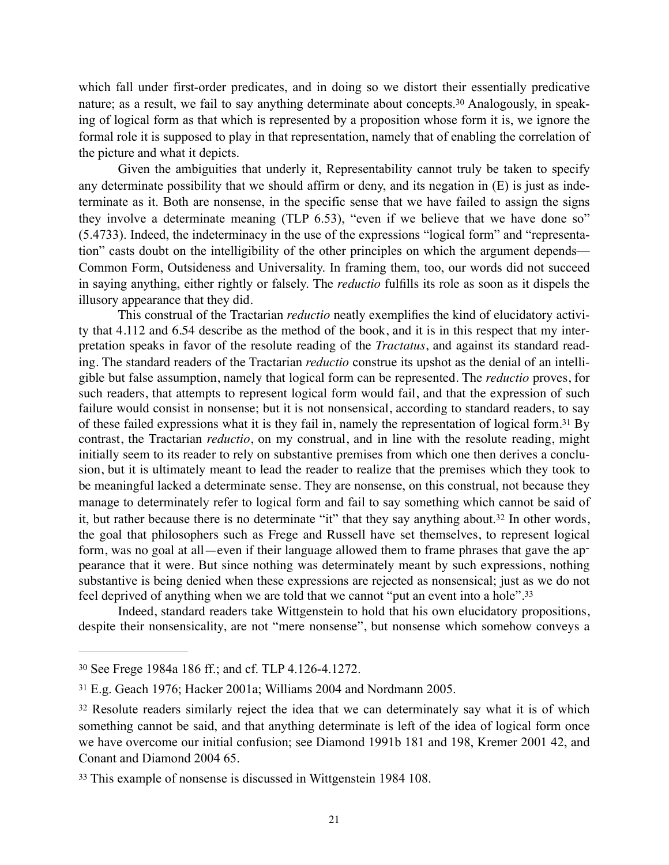<span id="page-20-4"></span>which fall under first-order predicates, and in doing so we distort their essentially predicative nature; as a result, we fail to say anything determinate about concepts[.30](#page-20-0) Analogously, in speaking of logical form as that which is represented by a proposition whose form it is, we ignore the formal role it is supposed to play in that representation, namely that of enabling the correlation of the picture and what it depicts.

Given the ambiguities that underly it, Representability cannot truly be taken to specify any determinate possibility that we should affirm or deny, and its negation in (E) is just as indeterminate as it. Both are nonsense, in the specific sense that we have failed to assign the signs they involve a determinate meaning (TLP 6.53), "even if we believe that we have done so" (5.4733). Indeed, the indeterminacy in the use of the expressions "logical form" and "representation" casts doubt on the intelligibility of the other principles on which the argument depends— Common Form, Outsideness and Universality. In framing them, too, our words did not succeed in saying anything, either rightly or falsely. The *reductio* fulfills its role as soon as it dispels the illusory appearance that they did.

<span id="page-20-5"></span>This construal of the Tractarian *reductio* neatly exemplifies the kind of elucidatory activity that 4.112 and 6.54 describe as the method of the book, and it is in this respect that my interpretation speaks in favor of the resolute reading of the *Tractatus*, and against its standard reading. The standard readers of the Tractarian *reductio* construe its upshot as the denial of an intelligible but false assumption, namely that logical form can be represented. The *reductio* proves, for such readers, that attempts to represent logical form would fail, and that the expression of such failure would consist in nonsense; but it is not nonsensical, according to standard readers, to say ofthese failed expressions what it is they fail in, namely the representation of logical form.<sup>[31](#page-20-1)</sup> By contrast, the Tractarian *reductio*, on my construal, and in line with the resolute reading, might initially seem to its reader to rely on substantive premises from which one then derives a conclusion, but it is ultimately meant to lead the reader to realize that the premises which they took to be meaningful lacked a determinate sense. They are nonsense, on this construal, not because they manage to determinately refer to logical form and fail to say something which cannot be said of it, but rather because there is no determinate "it" that they say anything about.<sup>[32](#page-20-2)</sup> In other words, the goal that philosophers such as Frege and Russell have set themselves, to represent logical form, was no goal at all—even if their language allowed them to frame phrases that gave the appearance that it were. But since nothing was determinately meant by such expressions, nothing substantive is being denied when these expressions are rejected as nonsensical; just as we do not feel deprived of anything when we are told that we cannot "put an event into a hole"[.33](#page-20-3)

<span id="page-20-7"></span><span id="page-20-6"></span>Indeed, standard readers take Wittgenstein to hold that his own elucidatory propositions, despite their nonsensicality, are not "mere nonsense", but nonsense which somehow conveys a

<span id="page-20-0"></span>See Frege 1984a 186 ff.; and cf. TLP 4.126-4.1272. [30](#page-20-4)

<span id="page-20-1"></span>E.g. Geach 1976; Hacker 2001a; Williams 2004 and Nordmann 2005. [31](#page-20-5)

<span id="page-20-2"></span><sup>&</sup>lt;sup>[32](#page-20-6)</sup> Resolute readers similarly reject the idea that we can determinately say what it is of which something cannot be said, and that anything determinate is left of the idea of logical form once we have overcome our initial confusion; see Diamond 1991b 181 and 198, Kremer 2001 42, and Conant and Diamond 2004 65.

<span id="page-20-3"></span><sup>&</sup>lt;sup>[33](#page-20-7)</sup> This example of nonsense is discussed in Wittgenstein 1984 108.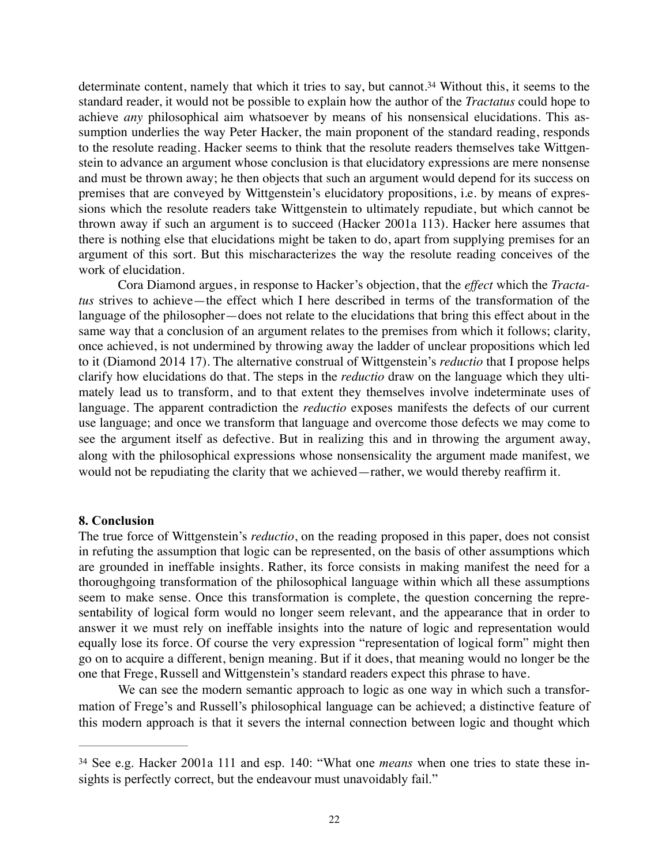<span id="page-21-1"></span>determinate content, namely that which it tries to say, but cannot[.](#page-21-0)<sup>[34](#page-21-0)</sup> Without this, it seems to the standard reader, it would not be possible to explain how the author of the *Tractatus* could hope to achieve *any* philosophical aim whatsoever by means of his nonsensical elucidations. This assumption underlies the way Peter Hacker, the main proponent of the standard reading, responds to the resolute reading. Hacker seems to think that the resolute readers themselves take Wittgenstein to advance an argument whose conclusion is that elucidatory expressions are mere nonsense and must be thrown away; he then objects that such an argument would depend for its success on premises that are conveyed by Wittgenstein's elucidatory propositions, i.e. by means of expressions which the resolute readers take Wittgenstein to ultimately repudiate, but which cannot be thrown away if such an argument is to succeed (Hacker 2001a 113). Hacker here assumes that there is nothing else that elucidations might be taken to do, apart from supplying premises for an argument of this sort. But this mischaracterizes the way the resolute reading conceives of the work of elucidation.

Cora Diamond argues, in response to Hacker's objection, that the *effect* which the *Tractatus* strives to achieve—the effect which I here described in terms of the transformation of the language of the philosopher—does not relate to the elucidations that bring this effect about in the same way that a conclusion of an argument relates to the premises from which it follows; clarity, once achieved, is not undermined by throwing away the ladder of unclear propositions which led to it (Diamond 2014 17). The alternative construal of Wittgenstein's *reductio* that I propose helps clarify how elucidations do that. The steps in the *reductio* draw on the language which they ultimately lead us to transform, and to that extent they themselves involve indeterminate uses of language. The apparent contradiction the *reductio* exposes manifests the defects of our current use language; and once we transform that language and overcome those defects we may come to see the argument itself as defective. But in realizing this and in throwing the argument away, along with the philosophical expressions whose nonsensicality the argument made manifest, we would not be repudiating the clarity that we achieved—rather, we would thereby reaffirm it.

#### **8. Conclusion**

The true force of Wittgenstein's *reductio*, on the reading proposed in this paper, does not consist in refuting the assumption that logic can be represented, on the basis of other assumptions which are grounded in ineffable insights. Rather, its force consists in making manifest the need for a thoroughgoing transformation of the philosophical language within which all these assumptions seem to make sense. Once this transformation is complete, the question concerning the representability of logical form would no longer seem relevant, and the appearance that in order to answer it we must rely on ineffable insights into the nature of logic and representation would equally lose its force. Of course the very expression "representation of logical form" might then go on to acquire a different, benign meaning. But if it does, that meaning would no longer be the one that Frege, Russell and Wittgenstein's standard readers expect this phrase to have.

We can see the modern semantic approach to logic as one way in which such a transformation of Frege's and Russell's philosophical language can be achieved; a distinctive feature of this modern approach is that it severs the internal connection between logic and thought which

<span id="page-21-0"></span>[<sup>34</sup>](#page-21-1) See e.g. Hacker 2001a 111 and esp. 140: "What one *means* when one tries to state these insights is perfectly correct, but the endeavour must unavoidably fail."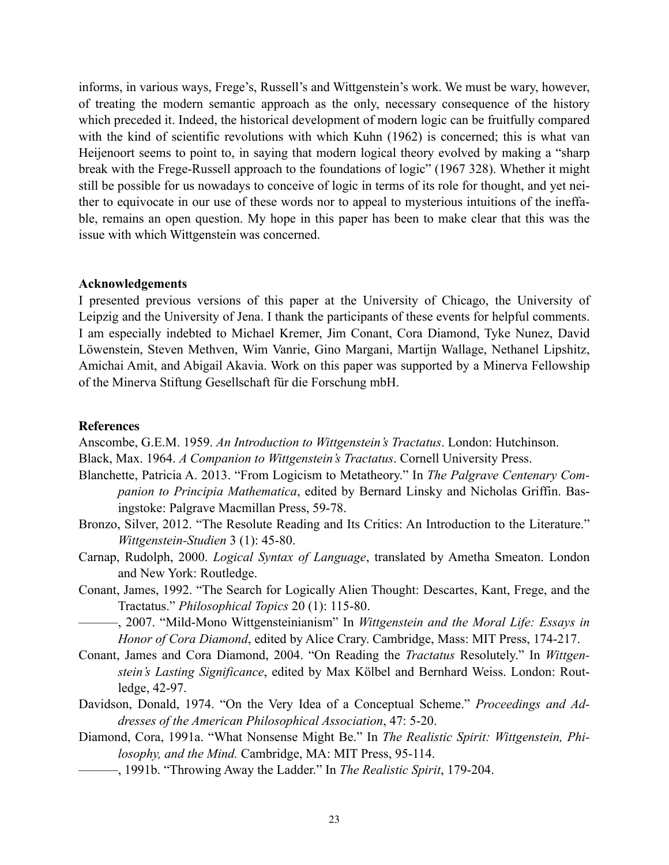informs, in various ways, Frege's, Russell's and Wittgenstein's work. We must be wary, however, of treating the modern semantic approach as the only, necessary consequence of the history which preceded it. Indeed, the historical development of modern logic can be fruitfully compared with the kind of scientific revolutions with which Kuhn (1962) is concerned; this is what van Heijenoort seems to point to, in saying that modern logical theory evolved by making a "sharp break with the Frege-Russell approach to the foundations of logic" (1967 328). Whether it might still be possible for us nowadays to conceive of logic in terms of its role for thought, and yet neither to equivocate in our use of these words nor to appeal to mysterious intuitions of the ineffable, remains an open question. My hope in this paper has been to make clear that this was the issue with which Wittgenstein was concerned.

### **Acknowledgements**

I presented previous versions of this paper at the University of Chicago, the University of Leipzig and the University of Jena. I thank the participants of these events for helpful comments. I am especially indebted to Michael Kremer, Jim Conant, Cora Diamond, Tyke Nunez, David Löwenstein, Steven Methven, Wim Vanrie, Gino Margani, Martijn Wallage, Nethanel Lipshitz, Amichai Amit, and Abigail Akavia. Work on this paper was supported by a Minerva Fellowship of the Minerva Stiftung Gesellschaft für die Forschung mbH.

## **References**

Anscombe, G.E.M. 1959. *An Introduction to Wittgenstein's Tractatus*. London: Hutchinson.

- Black, Max. 1964. *A Companion to Wittgenstein's Tractatus*. Cornell University Press.
- Blanchette, Patricia A. 2013. "From Logicism to Metatheory." In *The Palgrave Centenary Companion to Principia Mathematica*, edited by Bernard Linsky and Nicholas Griffin. Basingstoke: Palgrave Macmillan Press, 59-78.
- Bronzo, Silver, 2012. "The Resolute Reading and Its Critics: An Introduction to the Literature." *Wittgenstein-Studien* 3 (1): 45-80.
- Carnap, Rudolph, 2000. *Logical Syntax of Language*, translated by Ametha Smeaton. London and New York: Routledge.
- Conant, James, 1992. "The Search for Logically Alien Thought: Descartes, Kant, Frege, and the Tractatus." *Philosophical Topics* 20 (1): 115-80.
	- ———, 2007. "Mild-Mono Wittgensteinianism" In *Wittgenstein and the Moral Life: Essays in Honor of Cora Diamond*, edited by Alice Crary. Cambridge, Mass: MIT Press, 174-217.
- Conant, James and Cora Diamond, 2004. "On Reading the *Tractatus* Resolutely." In *Wittgenstein's Lasting Significance*, edited by Max Kölbel and Bernhard Weiss. London: Routledge, 42-97.
- Davidson, Donald, 1974. "On the Very Idea of a Conceptual Scheme." *Proceedings and Addresses of the American Philosophical Association*, 47: 5-20.
- Diamond, Cora, 1991a. "What Nonsense Might Be." In *The Realistic Spirit: Wittgenstein, Philosophy, and the Mind.* Cambridge, MA: MIT Press, 95-114.
	- ———, 1991b. "Throwing Away the Ladder." In *The Realistic Spirit*, 179-204.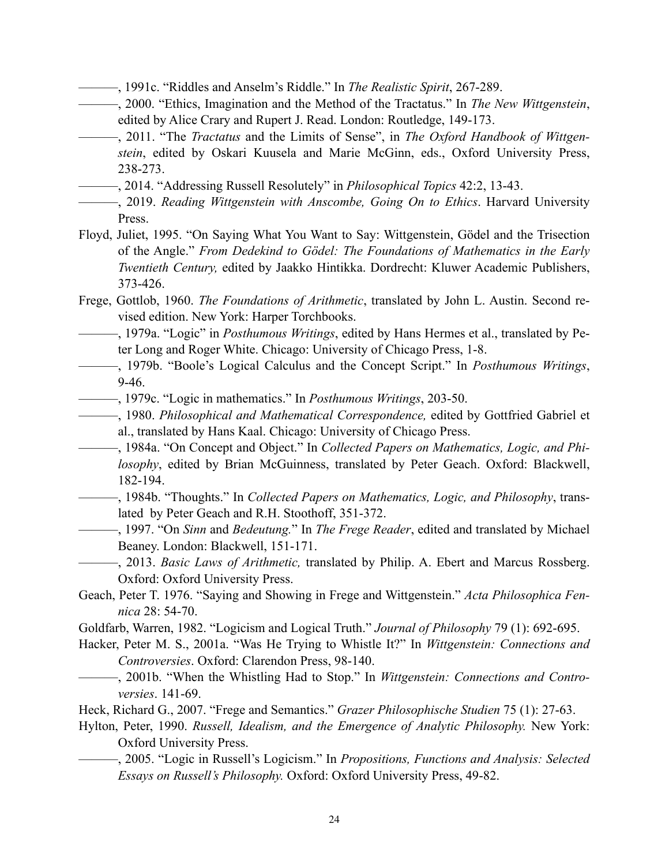- ———, 1991c. "Riddles and Anselm's Riddle." In *The Realistic Spirit*, 267-289.
- ———, 2000. "Ethics, Imagination and the Method of the Tractatus." In *The New Wittgenstein*, edited by Alice Crary and Rupert J. Read. London: Routledge, 149-173.
- ———, 2011. "The *Tractatus* and the Limits of Sense", in *The Oxford Handbook of Wittgenstein*, edited by Oskari Kuusela and Marie McGinn, eds., Oxford University Press, 238-273.
- ———, 2014. "Addressing Russell Resolutely" in *Philosophical Topics* 42:2, 13-43.
- ———, 2019. *Reading Wittgenstein with Anscombe, Going On to Ethics*. Harvard University Press.
- Floyd, Juliet, 1995. "On Saying What You Want to Say: Wittgenstein, Gödel and the Trisection of the Angle." *From Dedekind to Gödel: The Foundations of Mathematics in the Early Twentieth Century,* edited by Jaakko Hintikka. Dordrecht: Kluwer Academic Publishers, 373-426.
- Frege, Gottlob, 1960. *The Foundations of Arithmetic*, translated by John L. Austin. Second revised edition. New York: Harper Torchbooks.
- ———, 1979a. "Logic" in *Posthumous Writings*, edited by Hans Hermes et al., translated by Peter Long and Roger White. Chicago: University of Chicago Press, 1-8.
- ———, 1979b. "Boole's Logical Calculus and the Concept Script." In *Posthumous Writings*, 9-46.
- ———, 1979c. "Logic in mathematics." In *Posthumous Writings*, 203-50.
- ———, 1980. *Philosophical and Mathematical Correspondence,* edited by Gottfried Gabriel et al., translated by Hans Kaal. Chicago: University of Chicago Press.
- ———, 1984a. "On Concept and Object." In *Collected Papers on Mathematics, Logic, and Philosophy*, edited by Brian McGuinness, translated by Peter Geach. Oxford: Blackwell, 182-194.
- ———, 1984b. "Thoughts." In *Collected Papers on Mathematics, Logic, and Philosophy*, translated by Peter Geach and R.H. Stoothoff, 351-372.
- ———, 1997. "On *Sinn* and *Bedeutung.*" In *The Frege Reader*, edited and translated by Michael Beaney. London: Blackwell, 151-171.
- ———, 2013. *Basic Laws of Arithmetic,* translated by Philip. A. Ebert and Marcus Rossberg. Oxford: Oxford University Press.
- Geach, Peter T. 1976. "Saying and Showing in Frege and Wittgenstein." *Acta Philosophica Fennica* 28: 54-70.
- Goldfarb, Warren, 1982. "Logicism and Logical Truth." *Journal of Philosophy* 79 (1): 692-695.
- Hacker, Peter M. S., 2001a. "Was He Trying to Whistle It?" In *Wittgenstein: Connections and Controversies*. Oxford: Clarendon Press, 98-140.
	- ———, 2001b. "When the Whistling Had to Stop." In *Wittgenstein: Connections and Controversies*. 141-69.
- Heck, Richard G., 2007. "Frege and Semantics." *Grazer Philosophische Studien* 75 (1): 27-63.
- Hylton, Peter, 1990. *Russell, Idealism, and the Emergence of Analytic Philosophy.* New York: Oxford University Press.
	- ———, 2005. "Logic in Russell's Logicism." In *Propositions, Functions and Analysis: Selected Essays on Russell's Philosophy.* Oxford: Oxford University Press, 49-82.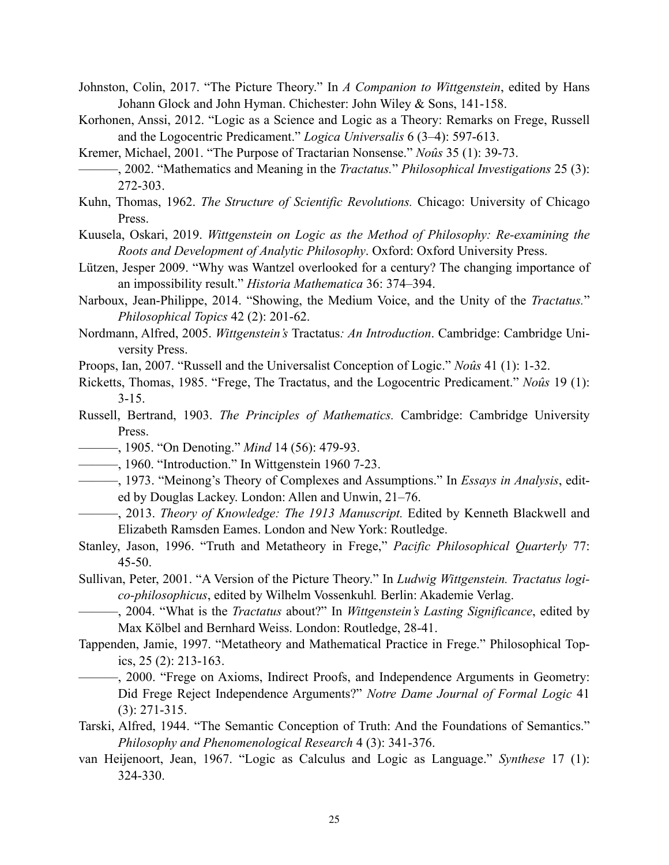- Johnston, Colin, 2017. "The Picture Theory." In *A Companion to Wittgenstein*, edited by Hans Johann Glock and John Hyman. Chichester: John Wiley & Sons, 141-158.
- Korhonen, Anssi, 2012. "Logic as a Science and Logic as a Theory: Remarks on Frege, Russell and the Logocentric Predicament." *Logica Universalis* 6 (3–4): 597-613.
- Kremer, Michael, 2001. "The Purpose of Tractarian Nonsense." *Noûs* 35 (1): 39-73.
- ———, 2002. "Mathematics and Meaning in the *Tractatus.*" *Philosophical Investigations* 25 (3): 272-303.
- Kuhn, Thomas, 1962. *The Structure of Scientific Revolutions.* Chicago: University of Chicago Press.
- Kuusela, Oskari, 2019. *Wittgenstein on Logic as the Method of Philosophy: Re-examining the Roots and Development of Analytic Philosophy*. Oxford: Oxford University Press.
- Lützen, Jesper 2009. "Why was Wantzel overlooked for a century? The changing importance of an impossibility result." *Historia Mathematica* 36: 374–394.
- Narboux, Jean-Philippe, 2014. "Showing, the Medium Voice, and the Unity of the *Tractatus.*" *Philosophical Topics* 42 (2): 201-62.
- Nordmann, Alfred, 2005. *Wittgenstein's* Tractatus*: An Introduction*. Cambridge: Cambridge University Press.
- Proops, Ian, 2007. "Russell and the Universalist Conception of Logic." *Noûs* 41 (1): 1-32.
- Ricketts, Thomas, 1985. "Frege, The Tractatus, and the Logocentric Predicament." *Noûs* 19 (1):  $3 - 15$ .
- Russell, Bertrand, 1903. *The Principles of Mathematics.* Cambridge: Cambridge University Press.
- ———, 1905. "On Denoting." *Mind* 14 (56): 479-93.
- ———, 1960. "Introduction." In Wittgenstein 1960 7-23.
- ———, 1973. "Meinong's Theory of Complexes and Assumptions." In *Essays in Analysis*, edited by Douglas Lackey. London: Allen and Unwin, 21–76.
- ———, 2013. *Theory of Knowledge: The 1913 Manuscript.* Edited by Kenneth Blackwell and Elizabeth Ramsden Eames. London and New York: Routledge.
- Stanley, Jason, 1996. "Truth and Metatheory in Frege," *Pacific Philosophical Quarterly* 77: 45-50.
- Sullivan, Peter, 2001. "A Version of the Picture Theory." In *Ludwig Wittgenstein. Tractatus logico-philosophicus*, edited by Wilhelm Vossenkuhl*.* Berlin: Akademie Verlag.
- ———, 2004. "What is the *Tractatus* about?" In *Wittgenstein's Lasting Significance*, edited by Max Kölbel and Bernhard Weiss. London: Routledge, 28-41.
- Tappenden, Jamie, 1997. "Metatheory and Mathematical Practice in Frege." Philosophical Topics, 25 (2): 213-163.
	- ———, 2000. "Frege on Axioms, Indirect Proofs, and Independence Arguments in Geometry: Did Frege Reject Independence Arguments?" *Notre Dame Journal of Formal Logic* 41 (3): 271-315.
- Tarski, Alfred, 1944. "The Semantic Conception of Truth: And the Foundations of Semantics." *Philosophy and Phenomenological Research* 4 (3): 341-376.
- van Heijenoort, Jean, 1967. "Logic as Calculus and Logic as Language." *Synthese* 17 (1): 324-330.